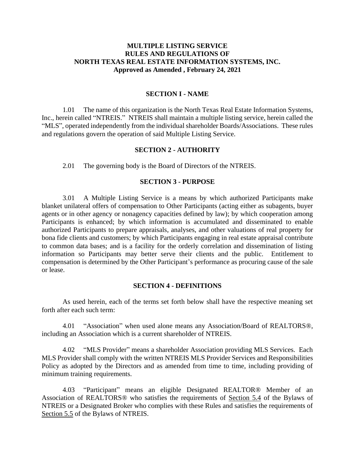# **MULTIPLE LISTING SERVICE RULES AND REGULATIONS OF NORTH TEXAS REAL ESTATE INFORMATION SYSTEMS, INC. Approved as Amended , February 24, 2021**

#### **SECTION I - NAME**

1.01 The name of this organization is the North Texas Real Estate Information Systems, Inc., herein called "NTREIS." NTREIS shall maintain a multiple listing service, herein called the "MLS", operated independently from the individual shareholder Boards/Associations. These rules and regulations govern the operation of said Multiple Listing Service.

#### **SECTION 2 - AUTHORITY**

2.01 The governing body is the Board of Directors of the NTREIS.

### **SECTION 3 - PURPOSE**

3.01 A Multiple Listing Service is a means by which authorized Participants make blanket unilateral offers of compensation to Other Participants (acting either as subagents, buyer agents or in other agency or nonagency capacities defined by law); by which cooperation among Participants is enhanced; by which information is accumulated and disseminated to enable authorized Participants to prepare appraisals, analyses, and other valuations of real property for bona fide clients and customers; by which Participants engaging in real estate appraisal contribute to common data bases; and is a facility for the orderly correlation and dissemination of listing information so Participants may better serve their clients and the public. Entitlement to compensation is determined by the Other Participant's performance as procuring cause of the sale or lease.

#### **SECTION 4 - DEFINITIONS**

As used herein, each of the terms set forth below shall have the respective meaning set forth after each such term:

4.01 "Association" when used alone means any Association/Board of REALTORS®, including an Association which is a current shareholder of NTREIS.

4.02 "MLS Provider" means a shareholder Association providing MLS Services. Each MLS Provider shall comply with the written NTREIS MLS Provider Services and Responsibilities Policy as adopted by the Directors and as amended from time to time, including providing of minimum training requirements.

4.03 "Participant" means an eligible Designated REALTOR® Member of an Association of REALTORS® who satisfies the requirements of Section 5.4 of the Bylaws of NTREIS or a Designated Broker who complies with these Rules and satisfies the requirements of Section 5.5 of the Bylaws of NTREIS.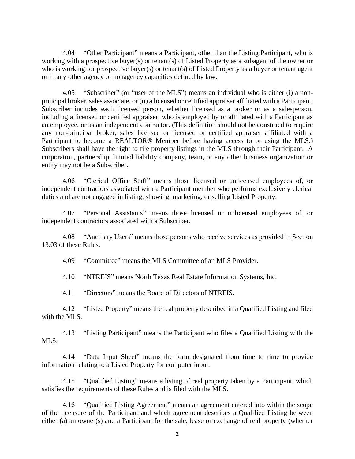4.04 "Other Participant" means a Participant, other than the Listing Participant, who is working with a prospective buyer(s) or tenant(s) of Listed Property as a subagent of the owner or who is working for prospective buyer(s) or tenant(s) of Listed Property as a buyer or tenant agent or in any other agency or nonagency capacities defined by law.

4.05 "Subscriber" (or "user of the MLS") means an individual who is either (i) a nonprincipal broker, sales associate, or (ii) a licensed or certified appraiser affiliated with a Participant. Subscriber includes each licensed person, whether licensed as a broker or as a salesperson, including a licensed or certified appraiser, who is employed by or affiliated with a Participant as an employee, or as an independent contractor. (This definition should not be construed to require any non-principal broker, sales licensee or licensed or certified appraiser affiliated with a Participant to become a REALTOR® Member before having access to or using the MLS.) Subscribers shall have the right to file property listings in the MLS through their Participant. A corporation, partnership, limited liability company, team, or any other business organization or entity may not be a Subscriber.

4.06 "Clerical Office Staff" means those licensed or unlicensed employees of, or independent contractors associated with a Participant member who performs exclusively clerical duties and are not engaged in listing, showing, marketing, or selling Listed Property.

4.07 "Personal Assistants" means those licensed or unlicensed employees of, or independent contractors associated with a Subscriber.

4.08 "Ancillary Users" means those persons who receive services as provided in Section 13.03 of these Rules.

4.09 "Committee" means the MLS Committee of an MLS Provider.

4.10 "NTREIS" means North Texas Real Estate Information Systems, Inc.

4.11 "Directors" means the Board of Directors of NTREIS.

4.12 "Listed Property" means the real property described in a Qualified Listing and filed with the MLS.

4.13 "Listing Participant" means the Participant who files a Qualified Listing with the MLS.

4.14 "Data Input Sheet" means the form designated from time to time to provide information relating to a Listed Property for computer input.

4.15 "Qualified Listing" means a listing of real property taken by a Participant, which satisfies the requirements of these Rules and is filed with the MLS.

4.16 "Qualified Listing Agreement" means an agreement entered into within the scope of the licensure of the Participant and which agreement describes a Qualified Listing between either (a) an owner(s) and a Participant for the sale, lease or exchange of real property (whether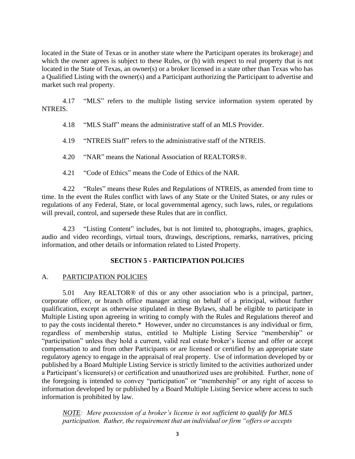located in the State of Texas or in another state where the Participant operates its brokerage) and which the owner agrees is subject to these Rules, or (b) with respect to real property that is not located in the State of Texas, an owner(s) or a broker licensed in a state other than Texas who has a Qualified Listing with the owner(s) and a Participant authorizing the Participant to advertise and market such real property.

4.17 "MLS" refers to the multiple listing service information system operated by NTREIS.

4.18 "MLS Staff" means the administrative staff of an MLS Provider.

4.19 "NTREIS Staff" refers to the administrative staff of the NTREIS.

4.20 "NAR" means the National Association of REALTORS®.

4.21 "Code of Ethics" means the Code of Ethics of the NAR.

4.22 "Rules" means these Rules and Regulations of NTREIS, as amended from time to time. In the event the Rules conflict with laws of any State or the United States, or any rules or regulations of any Federal, State, or local governmental agency, such laws, rules, or regulations will prevail, control, and supersede these Rules that are in conflict.

4.23 "Listing Content" includes, but is not limited to, photographs, images, graphics, audio and video recordings, virtual tours, drawings, descriptions, remarks, narratives, pricing information, and other details or information related to Listed Property.

# **SECTION 5 - PARTICIPATION POLICIES**

# A. PARTICIPATION POLICIES

5.01 Any REALTOR® of this or any other association who is a principal, partner, corporate officer, or branch office manager acting on behalf of a principal, without further qualification, except as otherwise stipulated in these Bylaws, shall be eligible to participate in Multiple Listing upon agreeing in writing to comply with the Rules and Regulations thereof and to pay the costs incidental thereto.\* However, under no circumstances is any individual or firm, regardless of membership status, entitled to Multiple Listing Service "membership" or "participation" unless they hold a current, valid real estate broker's license and offer or accept compensation to and from other Participants or are licensed or certified by an appropriate state regulatory agency to engage in the appraisal of real property. Use of information developed by or published by a Board Multiple Listing Service is strictly limited to the activities authorized under a Participant's licensure(s) or certification and unauthorized uses are prohibited. Further, none of the foregoing is intended to convey "participation" or "membership" or any right of access to information developed by or published by a Board Multiple Listing Service where access to such information is prohibited by law.

*NOTE: Mere possession of a broker's license is not sufficient to qualify for MLS participation. Rather, the requirement that an individual or firm "offers or accepts*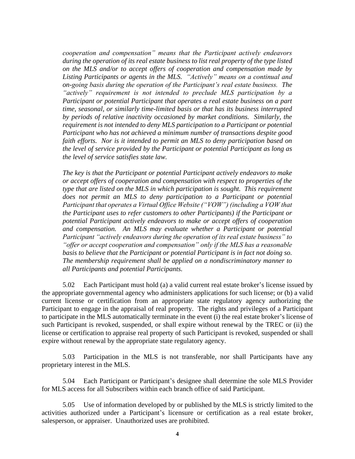*cooperation and compensation" means that the Participant actively endeavors during the operation of its real estate business to list real property of the type listed on the MLS and/or to accept offers of cooperation and compensation made by Listing Participants or agents in the MLS. "Actively" means on a continual and on-going basis during the operation of the Participant's real estate business. The "actively" requirement is not intended to preclude MLS participation by a Participant or potential Participant that operates a real estate business on a part time, seasonal, or similarly time-limited basis or that has its business interrupted by periods of relative inactivity occasioned by market conditions. Similarly, the requirement is not intended to deny MLS participation to a Participant or potential Participant who has not achieved a minimum number of transactions despite good faith efforts. Nor is it intended to permit an MLS to deny participation based on the level of service provided by the Participant or potential Participant as long as the level of service satisfies state law.*

*The key is that the Participant or potential Participant actively endeavors to make or accept offers of cooperation and compensation with respect to properties of the type that are listed on the MLS in which participation is sought. This requirement does not permit an MLS to deny participation to a Participant or potential Participant that operates a Virtual Office Website ("VOW") (including a VOW that the Participant uses to refer customers to other Participants) if the Participant or potential Participant actively endeavors to make or accept offers of cooperation and compensation. An MLS may evaluate whether a Participant or potential Participant "actively endeavors during the operation of its real estate business" to "offer or accept cooperation and compensation" only if the MLS has a reasonable basis to believe that the Participant or potential Participant is in fact not doing so. The membership requirement shall be applied on a nondiscriminatory manner to all Participants and potential Participants.*

5.02 Each Participant must hold (a) a valid current real estate broker's license issued by the appropriate governmental agency who administers applications for such license; or (b) a valid current license or certification from an appropriate state regulatory agency authorizing the Participant to engage in the appraisal of real property. The rights and privileges of a Participant to participate in the MLS automatically terminate in the event (i) the real estate broker's license of such Participant is revoked, suspended, or shall expire without renewal by the TREC or (ii) the license or certification to appraise real property of such Participant is revoked, suspended or shall expire without renewal by the appropriate state regulatory agency.

5.03 Participation in the MLS is not transferable, nor shall Participants have any proprietary interest in the MLS.

5.04 Each Participant or Participant's designee shall determine the sole MLS Provider for MLS access for all Subscribers within each branch office of said Participant.

5.05 Use of information developed by or published by the MLS is strictly limited to the activities authorized under a Participant's licensure or certification as a real estate broker, salesperson, or appraiser. Unauthorized uses are prohibited.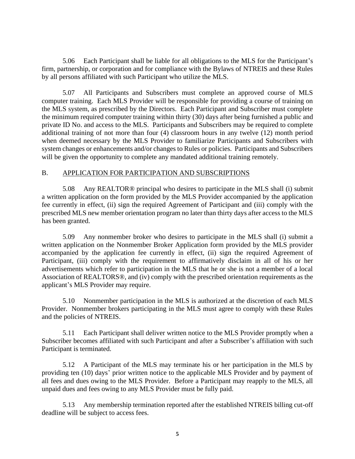5.06 Each Participant shall be liable for all obligations to the MLS for the Participant's firm, partnership, or corporation and for compliance with the Bylaws of NTREIS and these Rules by all persons affiliated with such Participant who utilize the MLS.

5.07 All Participants and Subscribers must complete an approved course of MLS computer training. Each MLS Provider will be responsible for providing a course of training on the MLS system, as prescribed by the Directors. Each Participant and Subscriber must complete the minimum required computer training within thirty (30) days after being furnished a public and private ID No. and access to the MLS. Participants and Subscribers may be required to complete additional training of not more than four (4) classroom hours in any twelve (12) month period when deemed necessary by the MLS Provider to familiarize Participants and Subscribers with system changes or enhancements and/or changes to Rules or policies. Participants and Subscribers will be given the opportunity to complete any mandated additional training remotely.

### B. APPLICATION FOR PARTICIPATION AND SUBSCRIPTIONS

5.08 Any REALTOR® principal who desires to participate in the MLS shall (i) submit a written application on the form provided by the MLS Provider accompanied by the application fee currently in effect, (ii) sign the required Agreement of Participant and (iii) comply with the prescribed MLS new member orientation program no later than thirty days after access to the MLS has been granted.

5.09 Any nonmember broker who desires to participate in the MLS shall (i) submit a written application on the Nonmember Broker Application form provided by the MLS provider accompanied by the application fee currently in effect, (ii) sign the required Agreement of Participant, (iii) comply with the requirement to affirmatively disclaim in all of his or her advertisements which refer to participation in the MLS that he or she is not a member of a local Association of REALTORS®, and (iv) comply with the prescribed orientation requirements as the applicant's MLS Provider may require.

5.10 Nonmember participation in the MLS is authorized at the discretion of each MLS Provider. Nonmember brokers participating in the MLS must agree to comply with these Rules and the policies of NTREIS.

5.11 Each Participant shall deliver written notice to the MLS Provider promptly when a Subscriber becomes affiliated with such Participant and after a Subscriber's affiliation with such Participant is terminated.

5.12 A Participant of the MLS may terminate his or her participation in the MLS by providing ten (10) days' prior written notice to the applicable MLS Provider and by payment of all fees and dues owing to the MLS Provider. Before a Participant may reapply to the MLS, all unpaid dues and fees owing to any MLS Provider must be fully paid.

5.13 Any membership termination reported after the established NTREIS billing cut-off deadline will be subject to access fees.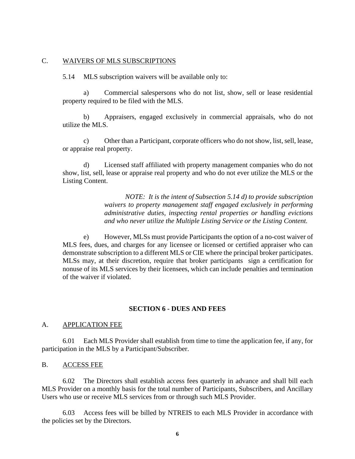### C. WAIVERS OF MLS SUBSCRIPTIONS

5.14 MLS subscription waivers will be available only to:

a) Commercial salespersons who do not list, show, sell or lease residential property required to be filed with the MLS.

b) Appraisers, engaged exclusively in commercial appraisals, who do not utilize the MLS.

c) Other than a Participant, corporate officers who do not show, list, sell, lease, or appraise real property.

d) Licensed staff affiliated with property management companies who do not show, list, sell, lease or appraise real property and who do not ever utilize the MLS or the Listing Content.

> *NOTE: It is the intent of Subsection 5.14 d) to provide subscription waivers to property management staff engaged exclusively in performing administrative duties, inspecting rental properties or handling evictions and who never utilize the Multiple Listing Service or the Listing Content.*

e) However, MLSs must provide Participants the option of a no-cost waiver of MLS fees, dues, and charges for any licensee or licensed or certified appraiser who can demonstrate subscription to a different MLS or CIE where the principal broker participates. MLSs may, at their discretion, require that broker participants sign a certification for nonuse of its MLS services by their licensees, which can include penalties and termination of the waiver if violated.

# **SECTION 6 - DUES AND FEES**

#### A. **APPLICATION FEE**

6.01 Each MLS Provider shall establish from time to time the application fee, if any, for participation in the MLS by a Participant/Subscriber.

B. ACCESS FEE

6.02 The Directors shall establish access fees quarterly in advance and shall bill each MLS Provider on a monthly basis for the total number of Participants, Subscribers, and Ancillary Users who use or receive MLS services from or through such MLS Provider.

6.03 Access fees will be billed by NTREIS to each MLS Provider in accordance with the policies set by the Directors.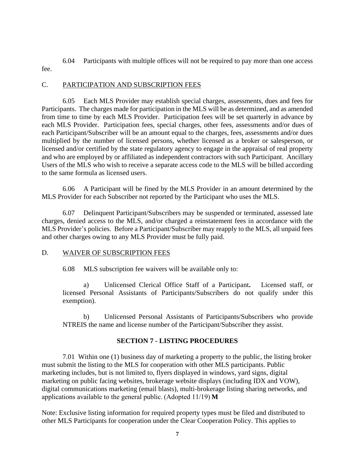6.04 Participants with multiple offices will not be required to pay more than one access fee.

# C. PARTICIPATION AND SUBSCRIPTION FEES

6.05 Each MLS Provider may establish special charges, assessments, dues and fees for Participants. The charges made for participation in the MLS will be as determined, and as amended from time to time by each MLS Provider. Participation fees will be set quarterly in advance by each MLS Provider. Participation fees, special charges, other fees, assessments and/or dues of each Participant/Subscriber will be an amount equal to the charges, fees, assessments and/or dues multiplied by the number of licensed persons, whether licensed as a broker or salesperson, or licensed and/or certified by the state regulatory agency to engage in the appraisal of real property and who are employed by or affiliated as independent contractors with such Participant. Ancillary Users of the MLS who wish to receive a separate access code to the MLS will be billed according to the same formula as licensed users.

6.06 A Participant will be fined by the MLS Provider in an amount determined by the MLS Provider for each Subscriber not reported by the Participant who uses the MLS.

6.07 Delinquent Participant/Subscribers may be suspended or terminated, assessed late charges, denied access to the MLS, and/or charged a reinstatement fees in accordance with the MLS Provider's policies. Before a Participant/Subscriber may reapply to the MLS, all unpaid fees and other charges owing to any MLS Provider must be fully paid.

# D. WAIVER OF SUBSCRIPTION FEES

6.08 MLS subscription fee waivers will be available only to:

a) Unlicensed Clerical Office Staff of a Participant**.** Licensed staff, or licensed Personal Assistants of Participants/Subscribers do not qualify under this exemption).

b) Unlicensed Personal Assistants of Participants/Subscribers who provide NTREIS the name and license number of the Participant/Subscriber they assist.

# **SECTION 7 - LISTING PROCEDURES**

7.01 Within one (1) business day of marketing a property to the public, the listing broker must submit the listing to the MLS for cooperation with other MLS participants. Public marketing includes, but is not limited to, flyers displayed in windows, yard signs, digital marketing on public facing websites, brokerage website displays (including IDX and VOW), digital communications marketing (email blasts), multi-brokerage listing sharing networks, and applications available to the general public. (Adopted 11/19) **M**

Note: Exclusive listing information for required property types must be filed and distributed to other MLS Participants for cooperation under the Clear Cooperation Policy. This applies to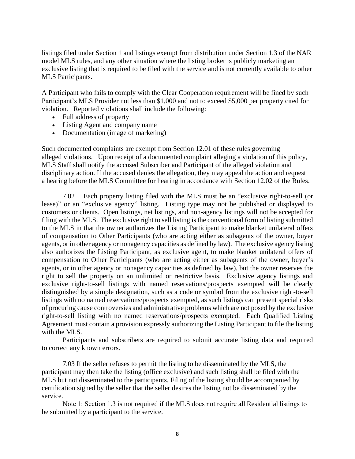listings filed under Section 1 and listings exempt from distribution under Section 1.3 of the NAR model MLS rules, and any other situation where the listing broker is publicly marketing an exclusive listing that is required to be filed with the service and is not currently available to other MLS Participants.

A Participant who fails to comply with the Clear Cooperation requirement will be fined by such Participant's MLS Provider not less than \$1,000 and not to exceed \$5,000 per property cited for violation. Reported violations shall include the following:

- Full address of property
- Listing Agent and company name
- Documentation (image of marketing)

Such documented complaints are exempt from Section 12.01 of these rules governing alleged violations. Upon receipt of a documented complaint alleging a violation of this policy, MLS Staff shall notify the accused Subscriber and Participant of the alleged violation and disciplinary action. If the accused denies the allegation, they may appeal the action and request a hearing before the MLS Committee for hearing in accordance with Section 12.02 of the Rules.

7.02 Each property listing filed with the MLS must be an "exclusive right-to-sell (or lease)" or an "exclusive agency" listing. Listing type may not be published or displayed to customers or clients. Open listings, net listings, and non-agency listings will not be accepted for filing with the MLS. The exclusive right to sell listing is the conventional form of listing submitted to the MLS in that the owner authorizes the Listing Participant to make blanket unilateral offers of compensation to Other Participants (who are acting either as subagents of the owner, buyer agents, or in other agency or nonagency capacities as defined by law). The exclusive agency listing also authorizes the Listing Participant, as exclusive agent, to make blanket unilateral offers of compensation to Other Participants (who are acting either as subagents of the owner, buyer's agents, or in other agency or nonagency capacities as defined by law), but the owner reserves the right to sell the property on an unlimited or restrictive basis. Exclusive agency listings and exclusive right-to-sell listings with named reservations/prospects exempted will be clearly distinguished by a simple designation, such as a code or symbol from the exclusive right-to-sell listings with no named reservations/prospects exempted, as such listings can present special risks of procuring cause controversies and administrative problems which are not posed by the exclusive right-to-sell listing with no named reservations/prospects exempted. Each Qualified Listing Agreement must contain a provision expressly authorizing the Listing Participant to file the listing with the MLS.

Participants and subscribers are required to submit accurate listing data and required to correct any known errors.

7.03 If the seller refuses to permit the listing to be disseminated by the MLS, the participant may then take the listing (office exclusive) and such listing shall be filed with the MLS but not disseminated to the participants. Filing of the listing should be accompanied by certification signed by the seller that the seller desires the listing not be disseminated by the service.

Note 1: Section 1.3 is not required if the MLS does not require all Residential listings to be submitted by a participant to the service.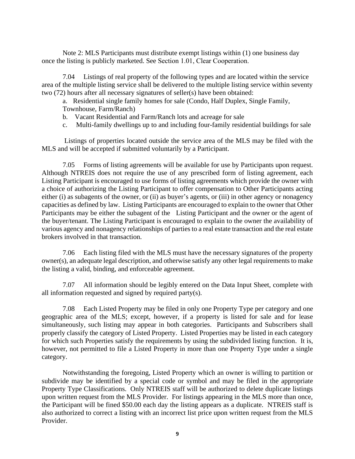Note 2: MLS Participants must distribute exempt listings within (1) one business day once the listing is publicly marketed. See Section 1.01, Clear Cooperation. 

7.04 Listings of real property of the following types and are located within the service area of the multiple listing service shall be delivered to the multiple listing service within seventy two (72) hours after all necessary signatures of seller(s) have been obtained:

a. Residential single family homes for sale (Condo, Half Duplex, Single Family, Townhouse, Farm/Ranch)

- b. Vacant Residential and Farm/Ranch lots and acreage for sale
- c. Multi-family dwellings up to and including four-family residential buildings for sale

Listings of properties located outside the service area of the MLS may be filed with the MLS and will be accepted if submitted voluntarily by a Participant.

7.05 Forms of listing agreements will be available for use by Participants upon request. Although NTREIS does not require the use of any prescribed form of listing agreement, each Listing Participant is encouraged to use forms of listing agreements which provide the owner with a choice of authorizing the Listing Participant to offer compensation to Other Participants acting either (i) as subagents of the owner, or (ii) as buyer's agents, or (iii) in other agency or nonagency capacities as defined by law. Listing Participants are encouraged to explain to the owner that Other Participants may be either the subagent of the Listing Participant and the owner or the agent of the buyer/tenant. The Listing Participant is encouraged to explain to the owner the availability of various agency and nonagency relationships of parties to a real estate transaction and the real estate brokers involved in that transaction.

7.06 Each listing filed with the MLS must have the necessary signatures of the property owner(s), an adequate legal description, and otherwise satisfy any other legal requirements to make the listing a valid, binding, and enforceable agreement.

7.07 All information should be legibly entered on the Data Input Sheet, complete with all information requested and signed by required party(s).

7.08 Each Listed Property may be filed in only one Property Type per category and one geographic area of the MLS; except, however, if a property is listed for sale and for lease simultaneously, such listing may appear in both categories. Participants and Subscribers shall properly classify the category of Listed Property. Listed Properties may be listed in each category for which such Properties satisfy the requirements by using the subdivided listing function. It is, however, not permitted to file a Listed Property in more than one Property Type under a single category.

Notwithstanding the foregoing, Listed Property which an owner is willing to partition or subdivide may be identified by a special code or symbol and may be filed in the appropriate Property Type Classifications. Only NTREIS staff will be authorized to delete duplicate listings upon written request from the MLS Provider. For listings appearing in the MLS more than once, the Participant will be fined \$50.00 each day the listing appears as a duplicate. NTREIS staff is also authorized to correct a listing with an incorrect list price upon written request from the MLS Provider.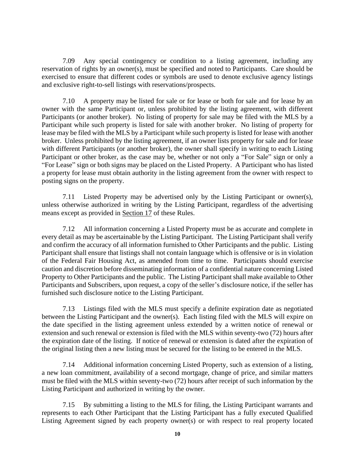7.09 Any special contingency or condition to a listing agreement, including any reservation of rights by an owner(s), must be specified and noted to Participants. Care should be exercised to ensure that different codes or symbols are used to denote exclusive agency listings and exclusive right-to-sell listings with reservations/prospects.

7.10 A property may be listed for sale or for lease or both for sale and for lease by an owner with the same Participant or, unless prohibited by the listing agreement, with different Participants (or another broker). No listing of property for sale may be filed with the MLS by a Participant while such property is listed for sale with another broker. No listing of property for lease may be filed with the MLS by a Participant while such property is listed for lease with another broker. Unless prohibited by the listing agreement, if an owner lists property for sale and for lease with different Participants (or another broker), the owner shall specify in writing to each Listing Participant or other broker, as the case may be, whether or not only a "For Sale" sign or only a "For Lease" sign or both signs may be placed on the Listed Property. A Participant who has listed a property for lease must obtain authority in the listing agreement from the owner with respect to posting signs on the property.

7.11 Listed Property may be advertised only by the Listing Participant or owner(s), unless otherwise authorized in writing by the Listing Participant, regardless of the advertising means except as provided in Section 17 of these Rules.

7.12 All information concerning a Listed Property must be as accurate and complete in every detail as may be ascertainable by the Listing Participant. The Listing Participant shall verify and confirm the accuracy of all information furnished to Other Participants and the public. Listing Participant shall ensure that listings shall not contain language which is offensive or is in violation of the Federal Fair Housing Act, as amended from time to time. Participants should exercise caution and discretion before disseminating information of a confidential nature concerning Listed Property to Other Participants and the public. The Listing Participant shall make available to Other Participants and Subscribers, upon request, a copy of the seller's disclosure notice, if the seller has furnished such disclosure notice to the Listing Participant.

7.13 Listings filed with the MLS must specify a definite expiration date as negotiated between the Listing Participant and the owner(s). Each listing filed with the MLS will expire on the date specified in the listing agreement unless extended by a written notice of renewal or extension and such renewal or extension is filed with the MLS within seventy-two (72) hours after the expiration date of the listing. If notice of renewal or extension is dated after the expiration of the original listing then a new listing must be secured for the listing to be entered in the MLS.

7.14 Additional information concerning Listed Property, such as extension of a listing, a new loan commitment, availability of a second mortgage, change of price, and similar matters must be filed with the MLS within seventy-two (72) hours after receipt of such information by the Listing Participant and authorized in writing by the owner.

7.15 By submitting a listing to the MLS for filing, the Listing Participant warrants and represents to each Other Participant that the Listing Participant has a fully executed Qualified Listing Agreement signed by each property owner(s) or with respect to real property located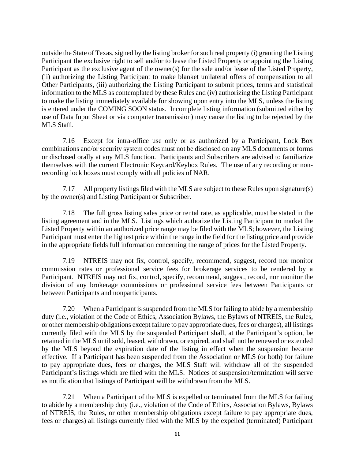outside the State of Texas, signed by the listing broker for such real property (i) granting the Listing Participant the exclusive right to sell and/or to lease the Listed Property or appointing the Listing Participant as the exclusive agent of the owner(s) for the sale and/or lease of the Listed Property, (ii) authorizing the Listing Participant to make blanket unilateral offers of compensation to all Other Participants, (iii) authorizing the Listing Participant to submit prices, terms and statistical information to the MLS as contemplated by these Rules and (iv) authorizing the Listing Participant to make the listing immediately available for showing upon entry into the MLS, unless the listing is entered under the COMING SOON status. Incomplete listing information (submitted either by use of Data Input Sheet or via computer transmission) may cause the listing to be rejected by the MLS Staff.

7.16 Except for intra-office use only or as authorized by a Participant, Lock Box combinations and/or security system codes must not be disclosed on any MLS documents or forms or disclosed orally at any MLS function. Participants and Subscribers are advised to familiarize themselves with the current Electronic Keycard/Keybox Rules. The use of any recording or nonrecording lock boxes must comply with all policies of NAR.

7.17 All property listings filed with the MLS are subject to these Rules upon signature(s) by the owner(s) and Listing Participant or Subscriber.

7.18 The full gross listing sales price or rental rate, as applicable, must be stated in the listing agreement and in the MLS. Listings which authorize the Listing Participant to market the Listed Property within an authorized price range may be filed with the MLS; however, the Listing Participant must enter the highest price within the range in the field for the listing price and provide in the appropriate fields full information concerning the range of prices for the Listed Property.

7.19 NTREIS may not fix, control, specify, recommend, suggest, record nor monitor commission rates or professional service fees for brokerage services to be rendered by a Participant. NTREIS may not fix, control, specify, recommend, suggest, record, nor monitor the division of any brokerage commissions or professional service fees between Participants or between Participants and nonparticipants.

7.20 When a Participant is suspended from the MLS for failing to abide by a membership duty (i.e., violation of the Code of Ethics, Association Bylaws, the Bylaws of NTREIS, the Rules, or other membership obligations except failure to pay appropriate dues, fees or charges), all listings currently filed with the MLS by the suspended Participant shall, at the Participant's option, be retained in the MLS until sold, leased, withdrawn, or expired, and shall not be renewed or extended by the MLS beyond the expiration date of the listing in effect when the suspension became effective. If a Participant has been suspended from the Association or MLS (or both) for failure to pay appropriate dues, fees or charges, the MLS Staff will withdraw all of the suspended Participant's listings which are filed with the MLS. Notices of suspension/termination will serve as notification that listings of Participant will be withdrawn from the MLS.

7.21 When a Participant of the MLS is expelled or terminated from the MLS for failing to abide by a membership duty (i.e., violation of the Code of Ethics, Association Bylaws, Bylaws of NTREIS, the Rules, or other membership obligations except failure to pay appropriate dues, fees or charges) all listings currently filed with the MLS by the expelled (terminated) Participant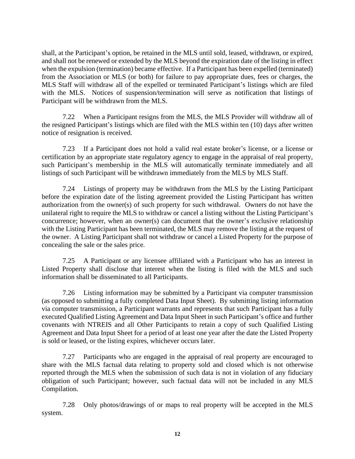shall, at the Participant's option, be retained in the MLS until sold, leased, withdrawn, or expired, and shall not be renewed or extended by the MLS beyond the expiration date of the listing in effect when the expulsion (termination) became effective. If a Participant has been expelled (terminated) from the Association or MLS (or both) for failure to pay appropriate dues, fees or charges, the MLS Staff will withdraw all of the expelled or terminated Participant's listings which are filed with the MLS. Notices of suspension/termination will serve as notification that listings of Participant will be withdrawn from the MLS.

7.22 When a Participant resigns from the MLS, the MLS Provider will withdraw all of the resigned Participant's listings which are filed with the MLS within ten (10) days after written notice of resignation is received.

7.23 If a Participant does not hold a valid real estate broker's license, or a license or certification by an appropriate state regulatory agency to engage in the appraisal of real property, such Participant's membership in the MLS will automatically terminate immediately and all listings of such Participant will be withdrawn immediately from the MLS by MLS Staff.

7.24 Listings of property may be withdrawn from the MLS by the Listing Participant before the expiration date of the listing agreement provided the Listing Participant has written authorization from the owner(s) of such property for such withdrawal. Owners do not have the unilateral right to require the MLS to withdraw or cancel a listing without the Listing Participant's concurrence; however, when an owner(s) can document that the owner's exclusive relationship with the Listing Participant has been terminated, the MLS may remove the listing at the request of the owner. A Listing Participant shall not withdraw or cancel a Listed Property for the purpose of concealing the sale or the sales price.

7.25 A Participant or any licensee affiliated with a Participant who has an interest in Listed Property shall disclose that interest when the listing is filed with the MLS and such information shall be disseminated to all Participants.

7.26 Listing information may be submitted by a Participant via computer transmission (as opposed to submitting a fully completed Data Input Sheet). By submitting listing information via computer transmission, a Participant warrants and represents that such Participant has a fully executed Qualified Listing Agreement and Data Input Sheet in such Participant's office and further covenants with NTREIS and all Other Participants to retain a copy of such Qualified Listing Agreement and Data Input Sheet for a period of at least one year after the date the Listed Property is sold or leased, or the listing expires, whichever occurs later.

7.27 Participants who are engaged in the appraisal of real property are encouraged to share with the MLS factual data relating to property sold and closed which is not otherwise reported through the MLS when the submission of such data is not in violation of any fiduciary obligation of such Participant; however, such factual data will not be included in any MLS Compilation.

7.28 Only photos/drawings of or maps to real property will be accepted in the MLS system.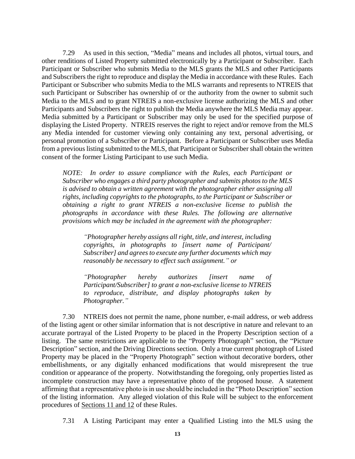7.29 As used in this section, "Media" means and includes all photos, virtual tours, and other renditions of Listed Property submitted electronically by a Participant or Subscriber. Each Participant or Subscriber who submits Media to the MLS grants the MLS and other Participants and Subscribers the right to reproduce and display the Media in accordance with these Rules. Each Participant or Subscriber who submits Media to the MLS warrants and represents to NTREIS that such Participant or Subscriber has ownership of or the authority from the owner to submit such Media to the MLS and to grant NTREIS a non-exclusive license authorizing the MLS and other Participants and Subscribers the right to publish the Media anywhere the MLS Media may appear. Media submitted by a Participant or Subscriber may only be used for the specified purpose of displaying the Listed Property. NTREIS reserves the right to reject and/or remove from the MLS any Media intended for customer viewing only containing any text, personal advertising, or personal promotion of a Subscriber or Participant. Before a Participant or Subscriber uses Media from a previous listing submitted to the MLS, that Participant or Subscriber shall obtain the written consent of the former Listing Participant to use such Media.

*NOTE: In order to assure compliance with the Rules, each Participant or Subscriber who engages a third party photographer and submits photos to the MLS is advised to obtain a written agreement with the photographer either assigning all rights, including copyrights to the photographs, to the Participant or Subscriber or obtaining a right to grant NTREIS a non-exclusive license to publish the photographs in accordance with these Rules. The following are alternative provisions which may be included in the agreement with the photographer:*

*"Photographer hereby assigns all right, title, and interest, including copyrights, in photographs to [insert name of Participant/ Subscriber] and agrees to execute any further documents which may reasonably be necessary to effect such assignment." or*

*"Photographer hereby authorizes [insert name of Participant/Subscriber] to grant a non-exclusive license to NTREIS to reproduce, distribute, and display photographs taken by Photographer."*

7.30 NTREIS does not permit the name, phone number, e-mail address, or web address of the listing agent or other similar information that is not descriptive in nature and relevant to an accurate portrayal of the Listed Property to be placed in the Property Description section of a listing. The same restrictions are applicable to the "Property Photograph" section, the "Picture Description" section, and the Driving Directions section. Only a true current photograph of Listed Property may be placed in the "Property Photograph" section without decorative borders, other embellishments, or any digitally enhanced modifications that would misrepresent the true condition or appearance of the property. Notwithstanding the foregoing, only properties listed as incomplete construction may have a representative photo of the proposed house. A statement affirming that a representative photo is in use should be included in the "Photo Description" section of the listing information. Any alleged violation of this Rule will be subject to the enforcement procedures of Sections 11 and 12 of these Rules.

7.31 A Listing Participant may enter a Qualified Listing into the MLS using the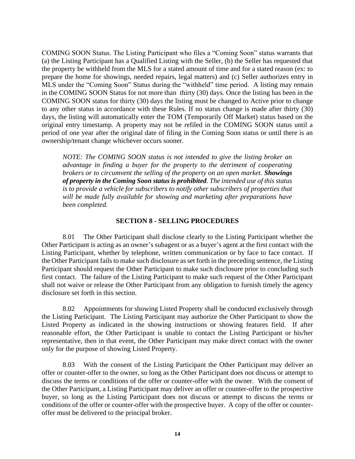COMING SOON Status. The Listing Participant who files a "Coming Soon" status warrants that (a) the Listing Participant has a Qualified Listing with the Seller, (b) the Seller has requested that the property be withheld from the MLS for a stated amount of time and for a stated reason (ex: to prepare the home for showings, needed repairs, legal matters) and (c) Seller authorizes entry in MLS under the "Coming Soon" Status during the "withheld" time period. A listing may remain in the COMING SOON Status for not more than thirty (30) days. Once the listing has been in the COMING SOON status for thirty (30) days the listing must be changed to Active prior to change to any other status in accordance with these Rules. If no status change is made after thirty (30) days, the listing will automatically enter the TOM (Temporarily Off Market) status based on the original entry timestamp. A property may not be refiled in the COMING SOON status until a period of one year after the original date of filing in the Coming Soon status or until there is an ownership/tenant change whichever occurs sooner.

*NOTE: The COMING SOON status is not intended to give the listing broker an advantage in finding a buyer for the property to the detriment of cooperating brokers or to circumvent the selling of the property on an open market. Showings of property in the Coming Soon status is prohibited. The intended use of this status is to provide a vehicle for subscribers to notify other subscribers of properties that will be made fully available for showing and marketing after preparations have been completed.* 

# **SECTION 8 - SELLING PROCEDURES**

8.01 The Other Participant shall disclose clearly to the Listing Participant whether the Other Participant is acting as an owner's subagent or as a buyer's agent at the first contact with the Listing Participant, whether by telephone, written communication or by face to face contact. If the Other Participant fails to make such disclosure as set forth in the preceding sentence, the Listing Participant should request the Other Participant to make such disclosure prior to concluding such first contact. The failure of the Listing Participant to make such request of the Other Participant shall not waive or release the Other Participant from any obligation to furnish timely the agency disclosure set forth in this section.

8.02 Appointments for showing Listed Property shall be conducted exclusively through the Listing Participant. The Listing Participant may authorize the Other Participant to show the Listed Property as indicated in the showing instructions or showing features field. If after reasonable effort, the Other Participant is unable to contact the Listing Participant or his/her representative, then in that event, the Other Participant may make direct contact with the owner only for the purpose of showing Listed Property.

8.03 With the consent of the Listing Participant the Other Participant may deliver an offer or counter-offer to the owner, so long as the Other Participant does not discuss or attempt to discuss the terms or conditions of the offer or counter-offer with the owner. With the consent of the Other Participant, a Listing Participant may deliver an offer or counter-offer to the prospective buyer, so long as the Listing Participant does not discuss or attempt to discuss the terms or conditions of the offer or counter-offer with the prospective buyer. A copy of the offer or counteroffer must be delivered to the principal broker.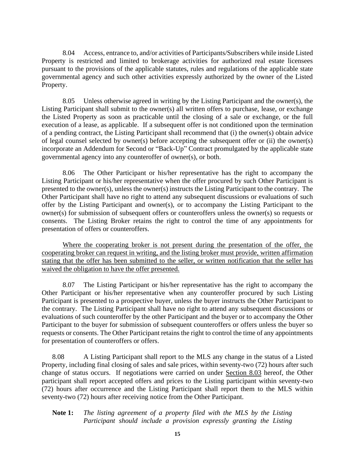8.04 Access, entrance to, and/or activities of Participants/Subscribers while inside Listed Property is restricted and limited to brokerage activities for authorized real estate licensees pursuant to the provisions of the applicable statutes, rules and regulations of the applicable state governmental agency and such other activities expressly authorized by the owner of the Listed Property.

8.05 Unless otherwise agreed in writing by the Listing Participant and the owner(s), the Listing Participant shall submit to the owner(s) all written offers to purchase, lease, or exchange the Listed Property as soon as practicable until the closing of a sale or exchange, or the full execution of a lease, as applicable. If a subsequent offer is not conditioned upon the termination of a pending contract, the Listing Participant shall recommend that (i) the owner(s) obtain advice of legal counsel selected by owner(s) before accepting the subsequent offer or (ii) the owner(s) incorporate an Addendum for Second or "Back-Up" Contract promulgated by the applicable state governmental agency into any counteroffer of owner(s), or both.

8.06 The Other Participant or his/her representative has the right to accompany the Listing Participant or his/her representative when the offer procured by such Other Participant is presented to the owner(s), unless the owner(s) instructs the Listing Participant to the contrary. The Other Participant shall have no right to attend any subsequent discussions or evaluations of such offer by the Listing Participant and owner(s), or to accompany the Listing Participant to the owner(s) for submission of subsequent offers or counteroffers unless the owner(s) so requests or consents. The Listing Broker retains the right to control the time of any appointments for presentation of offers or counteroffers.

Where the cooperating broker is not present during the presentation of the offer, the cooperating broker can request in writing, and the listing broker must provide, written affirmation stating that the offer has been submitted to the seller, or written notification that the seller has waived the obligation to have the offer presented.

8.07 The Listing Participant or his/her representative has the right to accompany the Other Participant or his/her representative when any counteroffer procured by such Listing Participant is presented to a prospective buyer, unless the buyer instructs the Other Participant to the contrary. The Listing Participant shall have no right to attend any subsequent discussions or evaluations of such counteroffer by the other Participant and the buyer or to accompany the Other Participant to the buyer for submission of subsequent counteroffers or offers unless the buyer so requests or consents. The Other Participant retains the right to control the time of any appointments for presentation of counteroffers or offers.

8.08 A Listing Participant shall report to the MLS any change in the status of a Listed Property, including final closing of sales and sale prices, within seventy-two (72) hours after such change of status occurs. If negotiations were carried on under Section 8.03 hereof, the Other participant shall report accepted offers and prices to the Listing participant within seventy-two (72) hours after occurrence and the Listing Participant shall report them to the MLS within seventy-two (72) hours after receiving notice from the Other Participant.

# **Note 1:** *The listing agreement of a property filed with the MLS by the Listing Participant should include a provision expressly granting the Listing*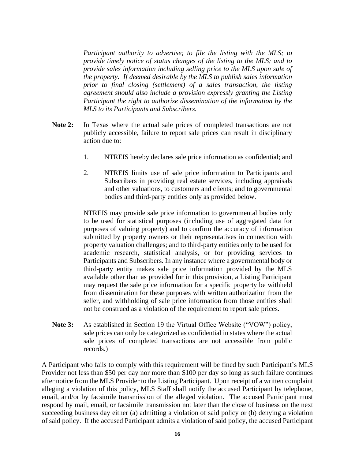*Participant authority to advertise; to file the listing with the MLS; to provide timely notice of status changes of the listing to the MLS; and to provide sales information including selling price to the MLS upon sale of the property. If deemed desirable by the MLS to publish sales information prior to final closing (settlement) of a sales transaction, the listing agreement should also include a provision expressly granting the Listing Participant the right to authorize dissemination of the information by the MLS to its Participants and Subscribers.*

- **Note 2:** In Texas where the actual sale prices of completed transactions are not publicly accessible, failure to report sale prices can result in disciplinary action due to:
	- 1. NTREIS hereby declares sale price information as confidential; and
	- 2. NTREIS limits use of sale price information to Participants and Subscribers in providing real estate services, including appraisals and other valuations, to customers and clients; and to governmental bodies and third-party entities only as provided below.

NTREIS may provide sale price information to governmental bodies only to be used for statistical purposes (including use of aggregated data for purposes of valuing property) and to confirm the accuracy of information submitted by property owners or their representatives in connection with property valuation challenges; and to third-party entities only to be used for academic research, statistical analysis, or for providing services to Participants and Subscribers. In any instance where a governmental body or third-party entity makes sale price information provided by the MLS available other than as provided for in this provision, a Listing Participant may request the sale price information for a specific property be withheld from dissemination for these purposes with written authorization from the seller, and withholding of sale price information from those entities shall not be construed as a violation of the requirement to report sale prices.

**Note 3:** As established in **Section 19** the Virtual Office Website ("VOW") policy, sale prices can only be categorized as confidential in states where the actual sale prices of completed transactions are not accessible from public records.)

A Participant who fails to comply with this requirement will be fined by such Participant's MLS Provider not less than \$50 per day nor more than \$100 per day so long as such failure continues after notice from the MLS Provider to the Listing Participant. Upon receipt of a written complaint alleging a violation of this policy, MLS Staff shall notify the accused Participant by telephone, email, and/or by facsimile transmission of the alleged violation. The accused Participant must respond by mail, email, or facsimile transmission not later than the close of business on the next succeeding business day either (a) admitting a violation of said policy or (b) denying a violation of said policy. If the accused Participant admits a violation of said policy, the accused Participant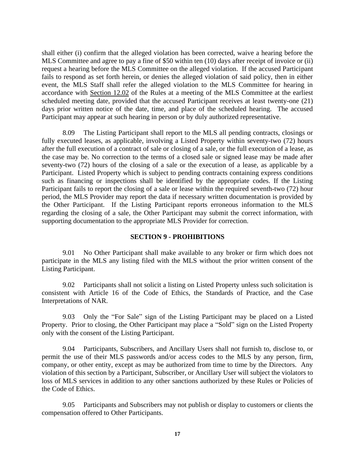shall either (i) confirm that the alleged violation has been corrected, waive a hearing before the MLS Committee and agree to pay a fine of \$50 within ten (10) days after receipt of invoice or (ii) request a hearing before the MLS Committee on the alleged violation. If the accused Participant fails to respond as set forth herein, or denies the alleged violation of said policy, then in either event, the MLS Staff shall refer the alleged violation to the MLS Committee for hearing in accordance with Section 12.02 of the Rules at a meeting of the MLS Committee at the earliest scheduled meeting date, provided that the accused Participant receives at least twenty-one (21) days prior written notice of the date, time, and place of the scheduled hearing. The accused Participant may appear at such hearing in person or by duly authorized representative.

8.09 The Listing Participant shall report to the MLS all pending contracts, closings or fully executed leases, as applicable, involving a Listed Property within seventy-two (72) hours after the full execution of a contract of sale or closing of a sale, or the full execution of a lease, as the case may be. No correction to the terms of a closed sale or signed lease may be made after seventy-two (72) hours of the closing of a sale or the execution of a lease, as applicable by a Participant. Listed Property which is subject to pending contracts containing express conditions such as financing or inspections shall be identified by the appropriate codes. If the Listing Participant fails to report the closing of a sale or lease within the required seventh-two (72) hour period, the MLS Provider may report the data if necessary written documentation is provided by the Other Participant. If the Listing Participant reports erroneous information to the MLS regarding the closing of a sale, the Other Participant may submit the correct information, with supporting documentation to the appropriate MLS Provider for correction.

#### **SECTION 9 - PROHIBITIONS**

9.01 No Other Participant shall make available to any broker or firm which does not participate in the MLS any listing filed with the MLS without the prior written consent of the Listing Participant.

9.02 Participants shall not solicit a listing on Listed Property unless such solicitation is consistent with Article 16 of the Code of Ethics, the Standards of Practice, and the Case Interpretations of NAR.

9.03 Only the "For Sale" sign of the Listing Participant may be placed on a Listed Property. Prior to closing, the Other Participant may place a "Sold" sign on the Listed Property only with the consent of the Listing Participant.

9.04 Participants, Subscribers, and Ancillary Users shall not furnish to, disclose to, or permit the use of their MLS passwords and/or access codes to the MLS by any person, firm, company, or other entity, except as may be authorized from time to time by the Directors. Any violation of this section by a Participant, Subscriber, or Ancillary User will subject the violators to loss of MLS services in addition to any other sanctions authorized by these Rules or Policies of the Code of Ethics.

9.05 Participants and Subscribers may not publish or display to customers or clients the compensation offered to Other Participants.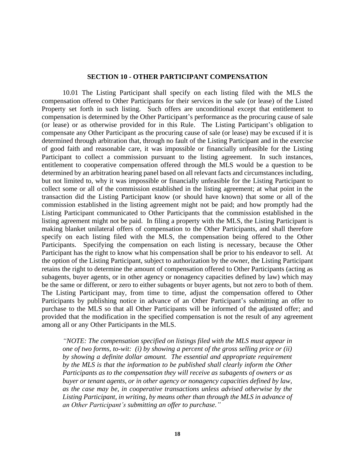#### **SECTION 10 - OTHER PARTICIPANT COMPENSATION**

10.01 The Listing Participant shall specify on each listing filed with the MLS the compensation offered to Other Participants for their services in the sale (or lease) of the Listed Property set forth in such listing. Such offers are unconditional except that entitlement to compensation is determined by the Other Participant's performance as the procuring cause of sale (or lease) or as otherwise provided for in this Rule. The Listing Participant's obligation to compensate any Other Participant as the procuring cause of sale (or lease) may be excused if it is determined through arbitration that, through no fault of the Listing Participant and in the exercise of good faith and reasonable care, it was impossible or financially unfeasible for the Listing Participant to collect a commission pursuant to the listing agreement. In such instances, entitlement to cooperative compensation offered through the MLS would be a question to be determined by an arbitration hearing panel based on all relevant facts and circumstances including, but not limited to, why it was impossible or financially unfeasible for the Listing Participant to collect some or all of the commission established in the listing agreement; at what point in the transaction did the Listing Participant know (or should have known) that some or all of the commission established in the listing agreement might not be paid; and how promptly had the Listing Participant communicated to Other Participants that the commission established in the listing agreement might not be paid. In filing a property with the MLS, the Listing Participant is making blanket unilateral offers of compensation to the Other Participants, and shall therefore specify on each listing filed with the MLS, the compensation being offered to the Other Participants. Specifying the compensation on each listing is necessary, because the Other Participant has the right to know what his compensation shall be prior to his endeavor to sell. At the option of the Listing Participant, subject to authorization by the owner, the Listing Participant retains the right to determine the amount of compensation offered to Other Participants (acting as subagents, buyer agents, or in other agency or nonagency capacities defined by law) which may be the same or different, or zero to either subagents or buyer agents, but not zero to both of them. The Listing Participant may, from time to time, adjust the compensation offered to Other Participants by publishing notice in advance of an Other Participant's submitting an offer to purchase to the MLS so that all Other Participants will be informed of the adjusted offer; and provided that the modification in the specified compensation is not the result of any agreement among all or any Other Participants in the MLS.

*"NOTE: The compensation specified on listings filed with the MLS must appear in one of two forms, to-wit: (i) by showing a percent of the gross selling price or (ii) by showing a definite dollar amount. The essential and appropriate requirement by the MLS is that the information to be published shall clearly inform the Other Participants as to the compensation they will receive as subagents of owners or as buyer or tenant agents, or in other agency or nonagency capacities defined by law, as the case may be, in cooperative transactions unless advised otherwise by the Listing Participant, in writing, by means other than through the MLS in advance of an Other Participant's submitting an offer to purchase."*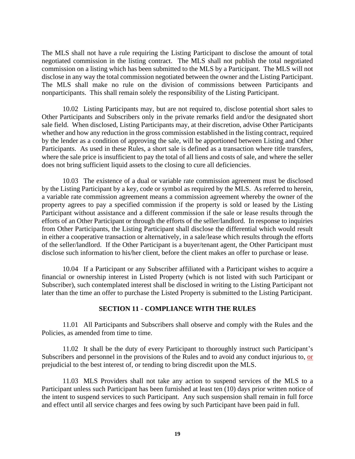The MLS shall not have a rule requiring the Listing Participant to disclose the amount of total negotiated commission in the listing contract. The MLS shall not publish the total negotiated commission on a listing which has been submitted to the MLS by a Participant. The MLS will not disclose in any way the total commission negotiated between the owner and the Listing Participant. The MLS shall make no rule on the division of commissions between Participants and nonparticipants. This shall remain solely the responsibility of the Listing Participant.

10.02 Listing Participants may, but are not required to, disclose potential short sales to Other Participants and Subscribers only in the private remarks field and/or the designated short sale field. When disclosed, Listing Participants may, at their discretion, advise Other Participants whether and how any reduction in the gross commission established in the listing contract, required by the lender as a condition of approving the sale, will be apportioned between Listing and Other Participants. As used in these Rules, a short sale is defined as a transaction where title transfers, where the sale price is insufficient to pay the total of all liens and costs of sale, and where the seller does not bring sufficient liquid assets to the closing to cure all deficiencies.

10.03 The existence of a dual or variable rate commission agreement must be disclosed by the Listing Participant by a key, code or symbol as required by the MLS. As referred to herein, a variable rate commission agreement means a commission agreement whereby the owner of the property agrees to pay a specified commission if the property is sold or leased by the Listing Participant without assistance and a different commission if the sale or lease results through the efforts of an Other Participant or through the efforts of the seller/landlord. In response to inquiries from Other Participants, the Listing Participant shall disclose the differential which would result in either a cooperative transaction or alternatively, in a sale/lease which results through the efforts of the seller/landlord. If the Other Participant is a buyer/tenant agent, the Other Participant must disclose such information to his/her client, before the client makes an offer to purchase or lease.

10.04 If a Participant or any Subscriber affiliated with a Participant wishes to acquire a financial or ownership interest in Listed Property (which is not listed with such Participant or Subscriber), such contemplated interest shall be disclosed in writing to the Listing Participant not later than the time an offer to purchase the Listed Property is submitted to the Listing Participant.

# **SECTION 11 - COMPLIANCE WITH THE RULES**

11.01 All Participants and Subscribers shall observe and comply with the Rules and the Policies, as amended from time to time.

11.02 It shall be the duty of every Participant to thoroughly instruct such Participant's Subscribers and personnel in the provisions of the Rules and to avoid any conduct injurious to, or prejudicial to the best interest of, or tending to bring discredit upon the MLS.

11.03 MLS Providers shall not take any action to suspend services of the MLS to a Participant unless such Participant has been furnished at least ten (10) days prior written notice of the intent to suspend services to such Participant. Any such suspension shall remain in full force and effect until all service charges and fees owing by such Participant have been paid in full.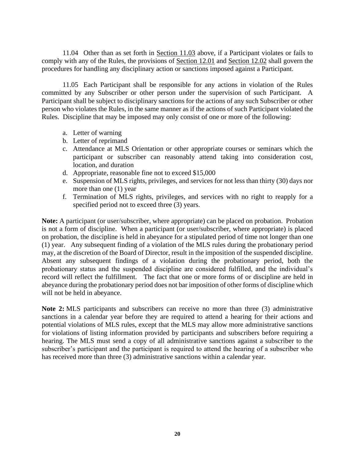11.04 Other than as set forth in Section 11.03 above, if a Participant violates or fails to comply with any of the Rules, the provisions of Section 12.01 and Section 12.02 shall govern the procedures for handling any disciplinary action or sanctions imposed against a Participant.

11.05 Each Participant shall be responsible for any actions in violation of the Rules committed by any Subscriber or other person under the supervision of such Participant. A Participant shall be subject to disciplinary sanctions for the actions of any such Subscriber or other person who violates the Rules, in the same manner as if the actions of such Participant violated the Rules. Discipline that may be imposed may only consist of one or more of the following:

- a. Letter of warning
- b. Letter of reprimand
- c. Attendance at MLS Orientation or other appropriate courses or seminars which the participant or subscriber can reasonably attend taking into consideration cost, location, and duration
- d. Appropriate, reasonable fine not to exceed \$15,000
- e. Suspension of MLS rights, privileges, and services for not less than thirty (30) days nor more than one (1) year
- f. Termination of MLS rights, privileges, and services with no right to reapply for a specified period not to exceed three (3) years.

**Note:** A participant (or user/subscriber, where appropriate) can be placed on probation. Probation is not a form of discipline. When a participant (or user/subscriber, where appropriate) is placed on probation, the discipline is held in abeyance for a stipulated period of time not longer than one (1) year. Any subsequent finding of a violation of the MLS rules during the probationary period may, at the discretion of the Board of Director, result in the imposition of the suspended discipline. Absent any subsequent findings of a violation during the probationary period, both the probationary status and the suspended discipline are considered fulfilled, and the individual's record will reflect the fulfillment. The fact that one or more forms of or discipline are held in abeyance during the probationary period does not bar imposition of other forms of discipline which will not be held in abeyance.

**Note 2:** MLS participants and subscribers can receive no more than three (3) administrative sanctions in a calendar year before they are required to attend a hearing for their actions and potential violations of MLS rules, except that the MLS may allow more administrative sanctions for violations of listing information provided by participants and subscribers before requiring a hearing. The MLS must send a copy of all administrative sanctions against a subscriber to the subscriber's participant and the participant is required to attend the hearing of a subscriber who has received more than three (3) administrative sanctions within a calendar year.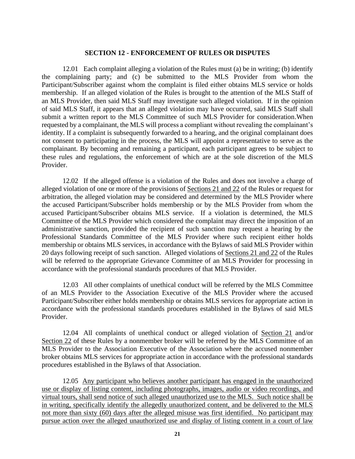#### **SECTION 12 - ENFORCEMENT OF RULES OR DISPUTES**

12.01 Each complaint alleging a violation of the Rules must (a) be in writing; (b) identify the complaining party; and (c) be submitted to the MLS Provider from whom the Participant/Subscriber against whom the complaint is filed either obtains MLS service or holds membership. If an alleged violation of the Rules is brought to the attention of the MLS Staff of an MLS Provider, then said MLS Staff may investigate such alleged violation. If in the opinion of said MLS Staff, it appears that an alleged violation may have occurred, said MLS Staff shall submit a written report to the MLS Committee of such MLS Provider for consideration.When requested by a complainant, the MLS will process a compliant without revealing the complainant's identity. If a complaint is subsequently forwarded to a hearing, and the original complainant does not consent to participating in the process, the MLS will appoint a representative to serve as the complainant. By becoming and remaining a participant, each participant agrees to be subject to these rules and regulations, the enforcement of which are at the sole discretion of the MLS Provider.

12.02 If the alleged offense is a violation of the Rules and does not involve a charge of alleged violation of one or more of the provisions of Sections 21 and 22 of the Rules or request for arbitration, the alleged violation may be considered and determined by the MLS Provider where the accused Participant/Subscriber holds membership or by the MLS Provider from whom the accused Participant/Subscriber obtains MLS service. If a violation is determined, the MLS Committee of the MLS Provider which considered the complaint may direct the imposition of an administrative sanction, provided the recipient of such sanction may request a hearing by the Professional Standards Committee of the MLS Provider where such recipient either holds membership or obtains MLS services, in accordance with the Bylaws of said MLS Provider within 20 days following receipt of such sanction. Alleged violations of Sections 21 and 22 of the Rules will be referred to the appropriate Grievance Committee of an MLS Provider for processing in accordance with the professional standards procedures of that MLS Provider.

12.03 All other complaints of unethical conduct will be referred by the MLS Committee of an MLS Provider to the Association Executive of the MLS Provider where the accused Participant/Subscriber either holds membership or obtains MLS services for appropriate action in accordance with the professional standards procedures established in the Bylaws of said MLS Provider.

12.04 All complaints of unethical conduct or alleged violation of Section 21 and/or Section 22 of these Rules by a nonmember broker will be referred by the MLS Committee of an MLS Provider to the Association Executive of the Association where the accused nonmember broker obtains MLS services for appropriate action in accordance with the professional standards procedures established in the Bylaws of that Association.

12.05 Any participant who believes another participant has engaged in the unauthorized use or display of listing content, including photographs, images, audio or video recordings, and virtual tours, shall send notice of such alleged unauthorized use to the MLS. Such notice shall be in writing, specifically identify the allegedly unauthorized content, and be delivered to the MLS not more than sixty (60) days after the alleged misuse was first identified. No participant may pursue action over the alleged unauthorized use and display of listing content in a court of law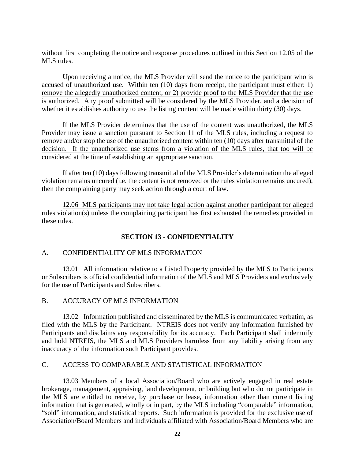without first completing the notice and response procedures outlined in this Section 12.05 of the MLS rules.

Upon receiving a notice, the MLS Provider will send the notice to the participant who is accused of unauthorized use. Within ten (10) days from receipt, the participant must either: 1) remove the allegedly unauthorized content, or 2) provide proof to the MLS Provider that the use is authorized. Any proof submitted will be considered by the MLS Provider, and a decision of whether it establishes authority to use the listing content will be made within thirty (30) days.

If the MLS Provider determines that the use of the content was unauthorized, the MLS Provider may issue a sanction pursuant to Section 11 of the MLS rules, including a request to remove and/or stop the use of the unauthorized content within ten (10) days after transmittal of the decision. If the unauthorized use stems from a violation of the MLS rules, that too will be considered at the time of establishing an appropriate sanction.

If after ten (10) days following transmittal of the MLS Provider's determination the alleged violation remains uncured (i.e. the content is not removed or the rules violation remains uncured), then the complaining party may seek action through a court of law.

12.06 MLS participants may not take legal action against another participant for alleged rules violation(s) unless the complaining participant has first exhausted the remedies provided in these rules.

# **SECTION 13 - CONFIDENTIALITY**

# A. CONFIDENTIALITY OF MLS INFORMATION

13.01 All information relative to a Listed Property provided by the MLS to Participants or Subscribers is official confidential information of the MLS and MLS Providers and exclusively for the use of Participants and Subscribers.

# B. ACCURACY OF MLS INFORMATION

13.02 Information published and disseminated by the MLS is communicated verbatim, as filed with the MLS by the Participant. NTREIS does not verify any information furnished by Participants and disclaims any responsibility for its accuracy. Each Participant shall indemnify and hold NTREIS, the MLS and MLS Providers harmless from any liability arising from any inaccuracy of the information such Participant provides.

# C. ACCESS TO COMPARABLE AND STATISTICAL INFORMATION

13.03 Members of a local Association/Board who are actively engaged in real estate brokerage, management, appraising, land development, or building but who do not participate in the MLS are entitled to receive, by purchase or lease, information other than current listing information that is generated, wholly or in part, by the MLS including "comparable" information, "sold" information, and statistical reports. Such information is provided for the exclusive use of Association/Board Members and individuals affiliated with Association/Board Members who are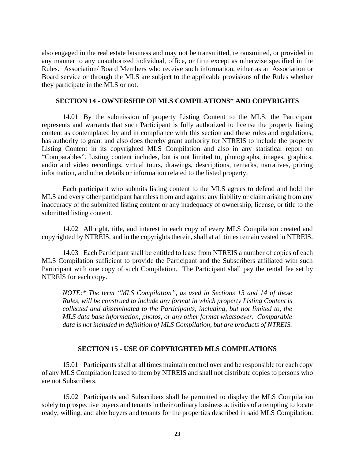also engaged in the real estate business and may not be transmitted, retransmitted, or provided in any manner to any unauthorized individual, office, or firm except as otherwise specified in the Rules. Association/ Board Members who receive such information, either as an Association or Board service or through the MLS are subject to the applicable provisions of the Rules whether they participate in the MLS or not.

### **SECTION 14 - OWNERSHIP OF MLS COMPILATIONS\* AND COPYRIGHTS**

14.01 By the submission of property Listing Content to the MLS, the Participant represents and warrants that such Participant is fully authorized to license the property listing content as contemplated by and in compliance with this section and these rules and regulations, has authority to grant and also does thereby grant authority for NTREIS to include the property Listing Content in its copyrighted MLS Compilation and also in any statistical report on "Comparables". Listing content includes, but is not limited to, photographs, images, graphics, audio and video recordings, virtual tours, drawings, descriptions, remarks, narratives, pricing information, and other details or information related to the listed property.

Each participant who submits listing content to the MLS agrees to defend and hold the MLS and every other participant harmless from and against any liability or claim arising from any inaccuracy of the submitted listing content or any inadequacy of ownership, license, or title to the submitted listing content*.*

14.02 All right, title, and interest in each copy of every MLS Compilation created and copyrighted by NTREIS, and in the copyrights therein, shall at all times remain vested in NTREIS.

14.03 Each Participant shall be entitled to lease from NTREIS a number of copies of each MLS Compilation sufficient to provide the Participant and the Subscribers affiliated with such Participant with one copy of such Compilation. The Participant shall pay the rental fee set by NTREIS for each copy.

*NOTE:\* The term "MLS Compilation", as used in Sections 13 and 14 of these Rules, will be construed to include any format in which property Listing Content is collected and disseminated to the Participants, including, but not limited to, the MLS data base information, photos, or any other format whatsoever. Comparable data is not included in definition of MLS Compilation, but are products of NTREIS.*

# **SECTION 15 - USE OF COPYRIGHTED MLS COMPILATIONS**

15.01 Participants shall at all times maintain control over and be responsible for each copy of any MLS Compilation leased to them by NTREIS and shall not distribute copies to persons who are not Subscribers.

15.02 Participants and Subscribers shall be permitted to display the MLS Compilation solely to prospective buyers and tenants in their ordinary business activities of attempting to locate ready, willing, and able buyers and tenants for the properties described in said MLS Compilation.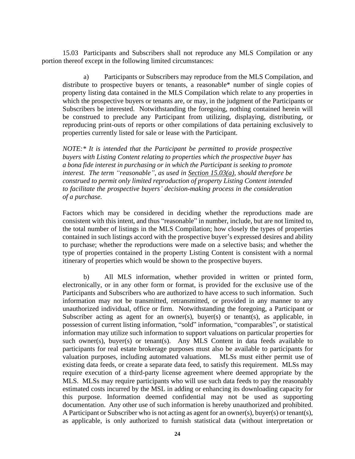15.03 Participants and Subscribers shall not reproduce any MLS Compilation or any portion thereof except in the following limited circumstances:

a) Participants or Subscribers may reproduce from the MLS Compilation, and distribute to prospective buyers or tenants, a reasonable\* number of single copies of property listing data contained in the MLS Compilation which relate to any properties in which the prospective buyers or tenants are, or may, in the judgment of the Participants or Subscribers be interested. Notwithstanding the foregoing, nothing contained herein will be construed to preclude any Participant from utilizing, displaying, distributing, or reproducing print-outs of reports or other compilations of data pertaining exclusively to properties currently listed for sale or lease with the Participant.

*NOTE:\* It is intended that the Participant be permitted to provide prospective buyers with Listing Content relating to properties which the prospective buyer has a bona fide interest in purchasing or in which the Participant is seeking to promote interest. The term "reasonable", as used in Section 15.03(a), should therefore be construed to permit only limited reproduction of property Listing Content intended to facilitate the prospective buyers' decision-making process in the consideration of a purchase.*

Factors which may be considered in deciding whether the reproductions made are consistent with this intent, and thus "reasonable" in number, include, but are not limited to, the total number of listings in the MLS Compilation; how closely the types of properties contained in such listings accord with the prospective buyer's expressed desires and ability to purchase; whether the reproductions were made on a selective basis; and whether the type of properties contained in the property Listing Content is consistent with a normal itinerary of properties which would be shown to the prospective buyers.

b) All MLS information, whether provided in written or printed form, electronically, or in any other form or format, is provided for the exclusive use of the Participants and Subscribers who are authorized to have access to such information. Such information may not be transmitted, retransmitted, or provided in any manner to any unauthorized individual, office or firm. Notwithstanding the foregoing, a Participant or Subscriber acting as agent for an owner(s), buyer(s) or tenant(s), as applicable, in possession of current listing information, "sold" information, "comparables", or statistical information may utilize such information to support valuations on particular properties for such owner(s), buyer(s) or tenant(s). Any MLS Content in data feeds available to participants for real estate brokerage purposes must also be available to participants for valuation purposes, including automated valuations. MLSs must either permit use of existing data feeds, or create a separate data feed, to satisfy this requirement. MLSs may require execution of a third-party license agreement where deemed appropriate by the MLS. MLSs may require participants who will use such data feeds to pay the reasonably estimated costs incurred by the MSL in adding or enhancing its downloading capacity for this purpose. Information deemed confidential may not be used as supporting documentation. Any other use of such information is hereby unauthorized and prohibited. A Participant or Subscriber who is not acting as agent for an owner(s), buyer(s) or tenant(s), as applicable, is only authorized to furnish statistical data (without interpretation or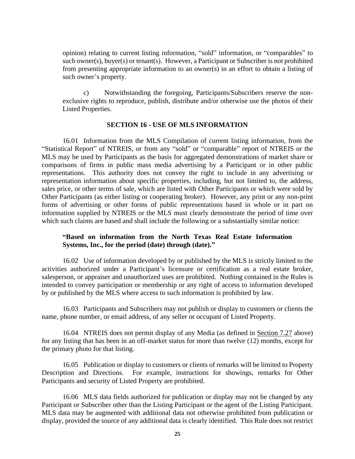opinion) relating to current listing information, "sold" information, or "comparables" to such owner(s), buyer(s) or tenant(s). However, a Participant or Subscriber is not prohibited from presenting appropriate information to an owner(s) in an effort to obtain a listing of such owner's property.

c) Notwithstanding the foregoing, Participants/Subscribers reserve the nonexclusive rights to reproduce, publish, distribute and/or otherwise use the photos of their Listed Properties.

### **SECTION 16 - USE OF MLS INFORMATION**

16.01 Information from the MLS Compilation of current listing information, from the "Statistical Report" of NTREIS, or from any "sold" or "comparable" report of NTREIS or the MLS may be used by Participants as the basis for aggregated demonstrations of market share or comparisons of firms in public mass media advertising by a Participant or in other public representations. This authority does not convey the right to include in any advertising or representation information about specific properties, including, but not limited to, the address, sales price, or other terms of sale, which are listed with Other Participants or which were sold by Other Participants (as either listing or cooperating broker). However, any print or any non-print forms of advertising or other forms of public representations based in whole or in part on information supplied by NTREIS or the MLS must clearly demonstrate the period of time over which such claims are based and shall include the following or a substantially similar notice:

# **"Based on information from the North Texas Real Estate Information Systems, Inc., for the period (date) through (date)."**

16.02 Use of information developed by or published by the MLS is strictly limited to the activities authorized under a Participant's licensure or certification as a real estate broker, salesperson, or appraiser and unauthorized uses are prohibited. Nothing contained in the Rules is intended to convey participation or membership or any right of access to information developed by or published by the MLS where access to such information is prohibited by law.

16.03 Participants and Subscribers may not publish or display to customers or clients the name, phone number, or email address, of any seller or occupant of Listed Property.

16.04 NTREIS does not permit display of any Media (as defined in Section 7.27 above) for any listing that has been in an off-market status for more than twelve (12) months, except for the primary photo for that listing.

16.05 Publication or display to customers or clients of remarks will be limited to Property Description and Directions. For example, instructions for showings, remarks for Other Participants and security of Listed Property are prohibited.

16.06 MLS data fields authorized for publication or display may not be changed by any Participant or Subscriber other than the Listing Participant or the agent of the Listing Participant. MLS data may be augmented with additional data not otherwise prohibited from publication or display, provided the source of any additional data is clearly identified. This Rule does not restrict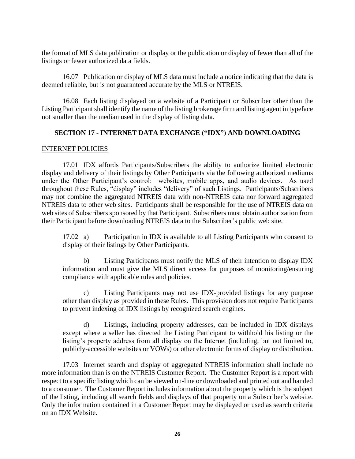the format of MLS data publication or display or the publication or display of fewer than all of the listings or fewer authorized data fields.

16.07 Publication or display of MLS data must include a notice indicating that the data is deemed reliable, but is not guaranteed accurate by the MLS or NTREIS.

16.08 Each listing displayed on a website of a Participant or Subscriber other than the Listing Participant shall identify the name of the listing brokerage firm and listing agent in typeface not smaller than the median used in the display of listing data.

# **SECTION 17 - INTERNET DATA EXCHANGE ("IDX") AND DOWNLOADING**

# INTERNET POLICIES

17.01 IDX affords Participants/Subscribers the ability to authorize limited electronic display and delivery of their listings by Other Participants via the following authorized mediums under the Other Participant's control: websites, mobile apps, and audio devices. As used throughout these Rules, "display" includes "delivery" of such Listings. Participants/Subscribers may not combine the aggregated NTREIS data with non-NTREIS data nor forward aggregated NTREIS data to other web sites. Participants shall be responsible for the use of NTREIS data on web sites of Subscribers sponsored by that Participant. Subscribers must obtain authorization from their Participant before downloading NTREIS data to the Subscriber's public web site.

17.02 a) Participation in IDX is available to all Listing Participants who consent to display of their listings by Other Participants.

b) Listing Participants must notify the MLS of their intention to display IDX information and must give the MLS direct access for purposes of monitoring/ensuring compliance with applicable rules and policies.

c) Listing Participants may not use IDX-provided listings for any purpose other than display as provided in these Rules. This provision does not require Participants to prevent indexing of IDX listings by recognized search engines.

d) Listings, including property addresses, can be included in IDX displays except where a seller has directed the Listing Participant to withhold his listing or the listing's property address from all display on the Internet (including, but not limited to, publicly-accessible websites or VOWs) or other electronic forms of display or distribution.

17.03 Internet search and display of aggregated NTREIS information shall include no more information than is on the NTREIS Customer Report. The Customer Report is a report with respect to a specific listing which can be viewed on-line or downloaded and printed out and handed to a consumer. The Customer Report includes information about the property which is the subject of the listing, including all search fields and displays of that property on a Subscriber's website. Only the information contained in a Customer Report may be displayed or used as search criteria on an IDX Website.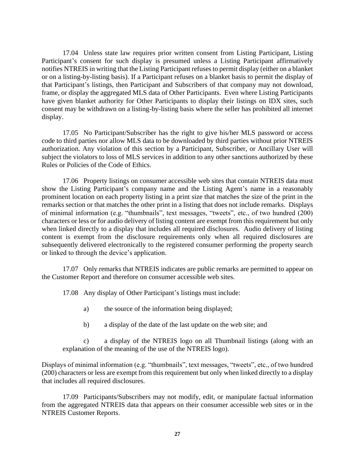17.04 Unless state law requires prior written consent from Listing Participant, Listing Participant's consent for such display is presumed unless a Listing Participant affirmatively notifies NTREIS in writing that the Listing Participant refuses to permit display (either on a blanket or on a listing-by-listing basis). If a Participant refuses on a blanket basis to permit the display of that Participant's listings, then Participant and Subscribers of that company may not download, frame, or display the aggregated MLS data of Other Participants. Even where Listing Participants have given blanket authority for Other Participants to display their listings on IDX sites, such consent may be withdrawn on a listing-by-listing basis where the seller has prohibited all internet display.

17.05 No Participant/Subscriber has the right to give his/her MLS password or access code to third parties nor allow MLS data to be downloaded by third parties without prior NTREIS authorization. Any violation of this section by a Participant, Subscriber, or Ancillary User will subject the violators to loss of MLS services in addition to any other sanctions authorized by these Rules or Policies of the Code of Ethics.

17.06 Property listings on consumer accessible web sites that contain NTREIS data must show the Listing Participant's company name and the Listing Agent's name in a reasonably prominent location on each property listing in a print size that matches the size of the print in the remarks section or that matches the other print in a listing that does not include remarks. Displays of minimal information (e.g. "thumbnails", text messages, "tweets", etc., of two hundred (200) characters or less or for audio delivery of listing content are exempt from this requirement but only when linked directly to a display that includes all required disclosures. Audio delivery of listing content is exempt from the disclosure requirements only when all required disclosures are subsequently delivered electronically to the registered consumer performing the property search or linked to through the device's application.

17.07 Only remarks that NTREIS indicates are public remarks are permitted to appear on the Customer Report and therefore on consumer accessible web sites.

17.08 Any display of Other Participant's listings must include:

- a) the source of the information being displayed;
- b) a display of the date of the last update on the web site; and

c) a display of the NTREIS logo on all Thumbnail listings (along with an explanation of the meaning of the use of the NTREIS logo).

Displays of minimal information (e.g. "thumbnails", text messages, "tweets", etc., of two hundred (200) characters or less are exempt from this requirement but only when linked directly to a display that includes all required disclosures.

17.09 Participants/Subscribers may not modify, edit, or manipulate factual information from the aggregated NTREIS data that appears on their consumer accessible web sites or in the NTREIS Customer Reports.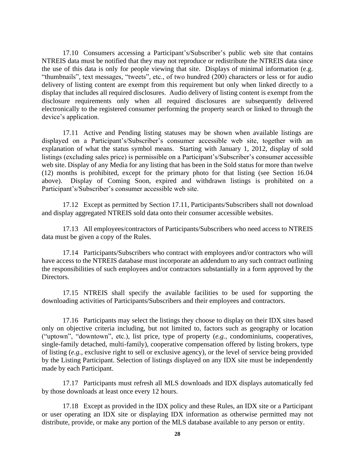17.10 Consumers accessing a Participant's/Subscriber's public web site that contains NTREIS data must be notified that they may not reproduce or redistribute the NTREIS data since the use of this data is only for people viewing that site. Displays of minimal information (e.g. "thumbnails", text messages, "tweets", etc., of two hundred (200) characters or less or for audio delivery of listing content are exempt from this requirement but only when linked directly to a display that includes all required disclosures. Audio delivery of listing content is exempt from the disclosure requirements only when all required disclosures are subsequently delivered electronically to the registered consumer performing the property search or linked to through the device's application.

17.11 Active and Pending listing statuses may be shown when available listings are displayed on a Participant's/Subscriber's consumer accessible web site, together with an explanation of what the status symbol means. Starting with January 1, 2012, display of sold listings (excluding sales price) is permissible on a Participant's/Subscriber's consumer accessible web site. Display of any Media for any listing that has been in the Sold status for more than twelve (12) months is prohibited, except for the primary photo for that listing (see Section 16.04 above). Display of Coming Soon, expired and withdrawn listings is prohibited on a Participant's/Subscriber's consumer accessible web site.

17.12 Except as permitted by Section 17.11, Participants/Subscribers shall not download and display aggregated NTREIS sold data onto their consumer accessible websites.

17.13 All employees/contractors of Participants/Subscribers who need access to NTREIS data must be given a copy of the Rules.

17.14 Participants/Subscribers who contract with employees and/or contractors who will have access to the NTREIS database must incorporate an addendum to any such contract outlining the responsibilities of such employees and/or contractors substantially in a form approved by the Directors.

17.15 NTREIS shall specify the available facilities to be used for supporting the downloading activities of Participants/Subscribers and their employees and contractors.

17.16 Participants may select the listings they choose to display on their IDX sites based only on objective criteria including, but not limited to, factors such as geography or location ("uptown", "downtown", etc.), list price, type of property (*e.g.*, condominiums, cooperatives, single-family detached, multi-family), cooperative compensation offered by listing brokers, type of listing (*e.g.*, exclusive right to sell or exclusive agency), or the level of service being provided by the Listing Participant. Selection of listings displayed on any IDX site must be independently made by each Participant.

17.17 Participants must refresh all MLS downloads and IDX displays automatically fed by those downloads at least once every 12 hours.

17.18 Except as provided in the IDX policy and these Rules, an IDX site or a Participant or user operating an IDX site or displaying IDX information as otherwise permitted may not distribute, provide, or make any portion of the MLS database available to any person or entity.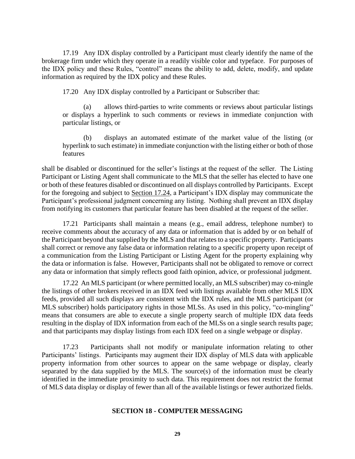17.19 Any IDX display controlled by a Participant must clearly identify the name of the brokerage firm under which they operate in a readily visible color and typeface. For purposes of the IDX policy and these Rules, "control" means the ability to add, delete, modify, and update information as required by the IDX policy and these Rules.

17.20 Any IDX display controlled by a Participant or Subscriber that:

allows third-parties to write comments or reviews about particular listings or displays a hyperlink to such comments or reviews in immediate conjunction with particular listings, or

(b) displays an automated estimate of the market value of the listing (or hyperlink to such estimate) in immediate conjunction with the listing either or both of those features

shall be disabled or discontinued for the seller's listings at the request of the seller. The Listing Participant or Listing Agent shall communicate to the MLS that the seller has elected to have one or both of these features disabled or discontinued on all displays controlled by Participants. Except for the foregoing and subject to Section 17.24, a Participant's IDX display may communicate the Participant's professional judgment concerning any listing. Nothing shall prevent an IDX display from notifying its customers that particular feature has been disabled at the request of the seller.

17.21 Participants shall maintain a means (e.g., email address, telephone number) to receive comments about the accuracy of any data or information that is added by or on behalf of the Participant beyond that supplied by the MLS and that relates to a specific property. Participants shall correct or remove any false data or information relating to a specific property upon receipt of a communication from the Listing Participant or Listing Agent for the property explaining why the data or information is false. However, Participants shall not be obligated to remove or correct any data or information that simply reflects good faith opinion, advice, or professional judgment.

17.22 An MLS participant (or where permitted locally, an MLS subscriber) may co-mingle the listings of other brokers received in an IDX feed with listings available from other MLS IDX feeds, provided all such displays are consistent with the IDX rules, and the MLS participant (or MLS subscriber) holds participatory rights in those MLSs. As used in this policy, "co-mingling" means that consumers are able to execute a single property search of multiple IDX data feeds resulting in the display of IDX information from each of the MLSs on a single search results page; and that participants may display listings from each IDX feed on a single webpage or display.

17.23 Participants shall not modify or manipulate information relating to other Participants' listings. Participants may augment their IDX display of MLS data with applicable property information from other sources to appear on the same webpage or display, clearly separated by the data supplied by the MLS. The source(s) of the information must be clearly identified in the immediate proximity to such data. This requirement does not restrict the format of MLS data display or display of fewer than all of the available listings or fewer authorized fields.

# **SECTION 18 - COMPUTER MESSAGING**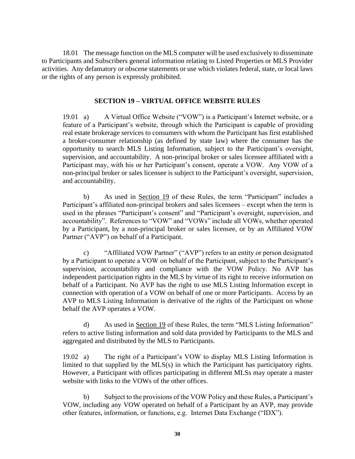18.01 The message function on the MLS computer will be used exclusively to disseminate to Participants and Subscribers general information relating to Listed Properties or MLS Provider activities. Any defamatory or obscene statements or use which violates federal, state, or local laws or the rights of any person is expressly prohibited.

# **SECTION 19 – VIRTUAL OFFICE WEBSITE RULES**

19.01 a) A Virtual Office Website ("VOW") is a Participant's Internet website, or a feature of a Participant's website, through which the Participant is capable of providing real estate brokerage services to consumers with whom the Participant has first established a broker-consumer relationship (as defined by state law) where the consumer has the opportunity to search MLS Listing Information, subject to the Participant's oversight, supervision, and accountability. A non-principal broker or sales licensee affiliated with a Participant may, with his or her Participant's consent, operate a VOW. Any VOW of a non-principal broker or sales licensee is subject to the Participant's oversight, supervision, and accountability.

b) As used in Section 19 of these Rules, the term "Participant" includes a Participant's affiliated non-principal brokers and sales licensees – except when the term is used in the phrases "Participant's consent" and "Participant's oversight, supervision, and accountability". References to "VOW" and "VOWs" include all VOWs, whether operated by a Participant, by a non-principal broker or sales licensee, or by an Affiliated VOW Partner ("AVP") on behalf of a Participant.

c) "Affiliated VOW Partner" ("AVP") refers to an entity or person designated by a Participant to operate a VOW on behalf of the Participant, subject to the Participant's supervision, accountability and compliance with the VOW Policy. No AVP has independent participation rights in the MLS by virtue of its right to receive information on behalf of a Participant. No AVP has the right to use MLS Listing Information except in connection with operation of a VOW on behalf of one or more Participants. Access by an AVP to MLS Listing Information is derivative of the rights of the Participant on whose behalf the AVP operates a VOW.

d) As used in Section 19 of these Rules, the term "MLS Listing Information" refers to active listing information and sold data provided by Participants to the MLS and aggregated and distributed by the MLS to Participants.

19.02 a) The right of a Participant's VOW to display MLS Listing Information is limited to that supplied by the MLS(s) in which the Participant has participatory rights. However, a Participant with offices participating in different MLSs may operate a master website with links to the VOWs of the other offices.

b) Subject to the provisions of the VOW Policy and these Rules, a Participant's VOW, including any VOW operated on behalf of a Participant by an AVP, may provide other features, information, or functions, e.g. Internet Data Exchange ("IDX").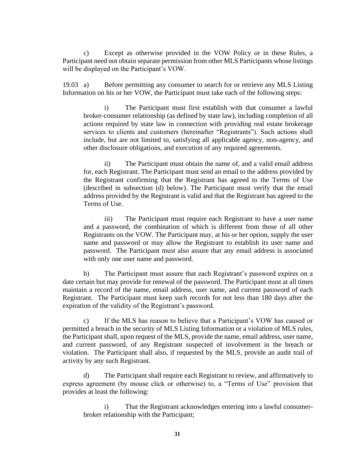c) Except as otherwise provided in the VOW Policy or in these Rules, a Participant need not obtain separate permission from other MLS Participants whose listings will be displayed on the Participant's VOW.

19.03 a) Before permitting any consumer to search for or retrieve any MLS Listing Information on his or her VOW, the Participant must take each of the following steps:

i) The Participant must first establish with that consumer a lawful broker-consumer relationship (as defined by state law), including completion of all actions required by state law in connection with providing real estate brokerage services to clients and customers (hereinafter "Registrants"). Such actions shall include, but are not limited to, satisfying all applicable agency, non-agency, and other disclosure obligations, and execution of any required agreements.

ii) The Participant must obtain the name of, and a valid email address for, each Registrant. The Participant must send an email to the address provided by the Registrant confirming that the Registrant has agreed to the Terms of Use (described in subsection (d) below). The Participant must verify that the email address provided by the Registrant is valid and that the Registrant has agreed to the Terms of Use.

iii) The Participant must require each Registrant to have a user name and a password, the combination of which is different from those of all other Registrants on the VOW. The Participant may, at his or her option, supply the user name and password or may allow the Registrant to establish its user name and password. The Participant must also assure that any email address is associated with only one user name and password.

b) The Participant must assure that each Registrant's password expires on a date certain but may provide for renewal of the password. The Participant must at all times maintain a record of the name, email address, user name, and current password of each Registrant. The Participant must keep such records for not less than 180 days after the expiration of the validity of the Registrant's password.

c) If the MLS has reason to believe that a Participant's VOW has caused or permitted a breach in the security of MLS Listing Information or a violation of MLS rules, the Participant shall, upon request of the MLS, provide the name, email address, user name, and current password, of any Registrant suspected of involvement in the breach or violation. The Participant shall also, if requested by the MLS, provide an audit trail of activity by any such Registrant.

d) The Participant shall require each Registrant to review, and affirmatively to express agreement (by mouse click or otherwise) to, a "Terms of Use" provision that provides at least the following:

i) That the Registrant acknowledges entering into a lawful consumerbroker relationship with the Participant;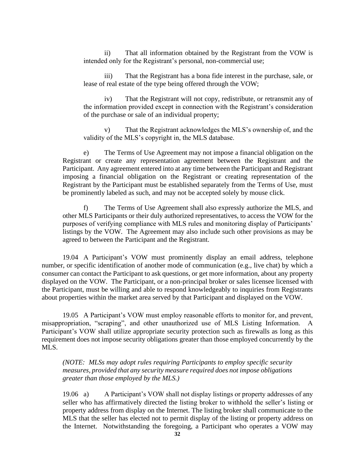ii) That all information obtained by the Registrant from the VOW is intended only for the Registrant's personal, non-commercial use;

iii) That the Registrant has a bona fide interest in the purchase, sale, or lease of real estate of the type being offered through the VOW;

iv) That the Registrant will not copy, redistribute, or retransmit any of the information provided except in connection with the Registrant's consideration of the purchase or sale of an individual property;

v) That the Registrant acknowledges the MLS's ownership of, and the validity of the MLS's copyright in, the MLS database.

e) The Terms of Use Agreement may not impose a financial obligation on the Registrant or create any representation agreement between the Registrant and the Participant. Any agreement entered into at any time between the Participant and Registrant imposing a financial obligation on the Registrant or creating representation of the Registrant by the Participant must be established separately from the Terms of Use, must be prominently labeled as such, and may not be accepted solely by mouse click.

f) The Terms of Use Agreement shall also expressly authorize the MLS, and other MLS Participants or their duly authorized representatives, to access the VOW for the purposes of verifying compliance with MLS rules and monitoring display of Participants' listings by the VOW. The Agreement may also include such other provisions as may be agreed to between the Participant and the Registrant.

19.04 A Participant's VOW must prominently display an email address, telephone number, or specific identification of another mode of communication (e.g., live chat) by which a consumer can contact the Participant to ask questions, or get more information, about any property displayed on the VOW. The Participant, or a non-principal broker or sales licensee licensed with the Participant, must be willing and able to respond knowledgeably to inquiries from Registrants about properties within the market area served by that Participant and displayed on the VOW.

19.05 A Participant's VOW must employ reasonable efforts to monitor for, and prevent, misappropriation, "scraping", and other unauthorized use of MLS Listing Information. A Participant's VOW shall utilize appropriate security protection such as firewalls as long as this requirement does not impose security obligations greater than those employed concurrently by the MLS.

*(NOTE: MLSs may adopt rules requiring Participants to employ specific security measures, provided that any security measure required does not impose obligations greater than those employed by the MLS.)*

19.06 a) A Participant's VOW shall not display listings or property addresses of any seller who has affirmatively directed the listing broker to withhold the seller's listing or property address from display on the Internet. The listing broker shall communicate to the MLS that the seller has elected not to permit display of the listing or property address on the Internet. Notwithstanding the foregoing, a Participant who operates a VOW may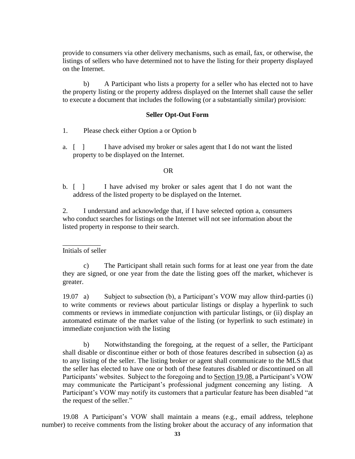provide to consumers via other delivery mechanisms, such as email, fax, or otherwise, the listings of sellers who have determined not to have the listing for their property displayed on the Internet.

b) A Participant who lists a property for a seller who has elected not to have the property listing or the property address displayed on the Internet shall cause the seller to execute a document that includes the following (or a substantially similar) provision:

### **Seller Opt-Out Form**

- 1. Please check either Option a or Option b
- a. [ ] I have advised my broker or sales agent that I do not want the listed property to be displayed on the Internet.

### **OR** Service Service Service Service Service Service Service Service Service Service Service Service Service Service Service Service Service Service Service Service Service Service Service Service Service Service Service S

b. [ ] I have advised my broker or sales agent that I do not want the address of the listed property to be displayed on the Internet.

2. I understand and acknowledge that, if I have selected option a, consumers who conduct searches for listings on the Internet will not see information about the listed property in response to their search.

 $\overline{\phantom{a}}$ Initials of seller

c) The Participant shall retain such forms for at least one year from the date they are signed, or one year from the date the listing goes off the market, whichever is greater.

19.07 a) Subject to subsection (b), a Participant's VOW may allow third-parties (i) to write comments or reviews about particular listings or display a hyperlink to such comments or reviews in immediate conjunction with particular listings, or (ii) display an automated estimate of the market value of the listing (or hyperlink to such estimate) in immediate conjunction with the listing

b) Notwithstanding the foregoing, at the request of a seller, the Participant shall disable or discontinue either or both of those features described in subsection (a) as to any listing of the seller. The listing broker or agent shall communicate to the MLS that the seller has elected to have one or both of these features disabled or discontinued on all Participants' websites. Subject to the foregoing and to Section 19.08, a Participant's VOW may communicate the Participant's professional judgment concerning any listing. A Participant's VOW may notify its customers that a particular feature has been disabled "at the request of the seller."

19.08 A Participant's VOW shall maintain a means (e.g., email address, telephone number) to receive comments from the listing broker about the accuracy of any information that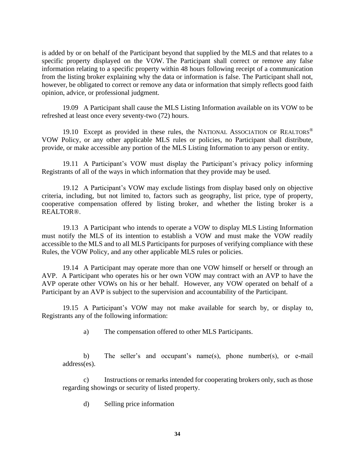is added by or on behalf of the Participant beyond that supplied by the MLS and that relates to a specific property displayed on the VOW. The Participant shall correct or remove any false information relating to a specific property within 48 hours following receipt of a communication from the listing broker explaining why the data or information is false. The Participant shall not, however, be obligated to correct or remove any data or information that simply reflects good faith opinion, advice, or professional judgment.

19.09 A Participant shall cause the MLS Listing Information available on its VOW to be refreshed at least once every seventy-two (72) hours.

19.10 Except as provided in these rules, the NATIONAL ASSOCIATION OF REALTORS<sup>®</sup> VOW Policy, or any other applicable MLS rules or policies, no Participant shall distribute, provide, or make accessible any portion of the MLS Listing Information to any person or entity.

19.11 A Participant's VOW must display the Participant's privacy policy informing Registrants of all of the ways in which information that they provide may be used.

19.12 A Participant's VOW may exclude listings from display based only on objective criteria, including, but not limited to, factors such as geography, list price, type of property, cooperative compensation offered by listing broker, and whether the listing broker is a REALTOR®.

19.13 A Participant who intends to operate a VOW to display MLS Listing Information must notify the MLS of its intention to establish a VOW and must make the VOW readily accessible to the MLS and to all MLS Participants for purposes of verifying compliance with these Rules, the VOW Policy, and any other applicable MLS rules or policies.

19.14 A Participant may operate more than one VOW himself or herself or through an AVP. A Participant who operates his or her own VOW may contract with an AVP to have the AVP operate other VOWs on his or her behalf. However, any VOW operated on behalf of a Participant by an AVP is subject to the supervision and accountability of the Participant.

19.15 A Participant's VOW may not make available for search by, or display to, Registrants any of the following information:

a) The compensation offered to other MLS Participants.

b) The seller's and occupant's name(s), phone number(s), or e-mail address(es).

c) Instructions or remarks intended for cooperating brokers only, such as those regarding showings or security of listed property.

d) Selling price information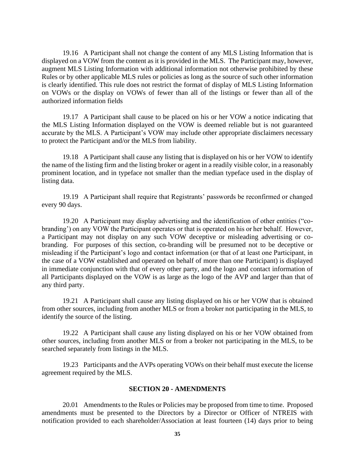19.16 A Participant shall not change the content of any MLS Listing Information that is displayed on a VOW from the content as it is provided in the MLS. The Participant may, however, augment MLS Listing Information with additional information not otherwise prohibited by these Rules or by other applicable MLS rules or policies as long as the source of such other information is clearly identified. This rule does not restrict the format of display of MLS Listing Information on VOWs or the display on VOWs of fewer than all of the listings or fewer than all of the authorized information fields

19.17 A Participant shall cause to be placed on his or her VOW a notice indicating that the MLS Listing Information displayed on the VOW is deemed reliable but is not guaranteed accurate by the MLS. A Participant's VOW may include other appropriate disclaimers necessary to protect the Participant and/or the MLS from liability.

19.18 A Participant shall cause any listing that is displayed on his or her VOW to identify the name of the listing firm and the listing broker or agent in a readily visible color, in a reasonably prominent location, and in typeface not smaller than the median typeface used in the display of listing data.

19.19 A Participant shall require that Registrants' passwords be reconfirmed or changed every 90 days.

19.20 A Participant may display advertising and the identification of other entities ("cobranding') on any VOW the Participant operates or that is operated on his or her behalf. However, a Participant may not display on any such VOW deceptive or misleading advertising or cobranding. For purposes of this section, co-branding will be presumed not to be deceptive or misleading if the Participant's logo and contact information (or that of at least one Participant, in the case of a VOW established and operated on behalf of more than one Participant) is displayed in immediate conjunction with that of every other party, and the logo and contact information of all Participants displayed on the VOW is as large as the logo of the AVP and larger than that of any third party.

19.21 A Participant shall cause any listing displayed on his or her VOW that is obtained from other sources, including from another MLS or from a broker not participating in the MLS, to identify the source of the listing.

19.22 A Participant shall cause any listing displayed on his or her VOW obtained from other sources, including from another MLS or from a broker not participating in the MLS, to be searched separately from listings in the MLS.

19.23 Participants and the AVPs operating VOWs on their behalf must execute the license agreement required by the MLS.

# **SECTION 20 - AMENDMENTS**

20.01 Amendments to the Rules or Policies may be proposed from time to time. Proposed amendments must be presented to the Directors by a Director or Officer of NTREIS with notification provided to each shareholder/Association at least fourteen (14) days prior to being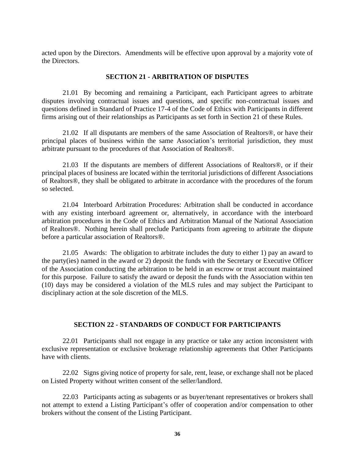acted upon by the Directors. Amendments will be effective upon approval by a majority vote of the Directors.

#### **SECTION 21 - ARBITRATION OF DISPUTES**

21.01 By becoming and remaining a Participant, each Participant agrees to arbitrate disputes involving contractual issues and questions, and specific non-contractual issues and questions defined in Standard of Practice 17-4 of the Code of Ethics with Participants in different firms arising out of their relationships as Participants as set forth in Section 21 of these Rules.

21.02 If all disputants are members of the same Association of Realtors®, or have their principal places of business within the same Association's territorial jurisdiction, they must arbitrate pursuant to the procedures of that Association of Realtors®.

21.03 If the disputants are members of different Associations of Realtors®, or if their principal places of business are located within the territorial jurisdictions of different Associations of Realtors®, they shall be obligated to arbitrate in accordance with the procedures of the forum so selected.

21.04 Interboard Arbitration Procedures: Arbitration shall be conducted in accordance with any existing interboard agreement or, alternatively, in accordance with the interboard arbitration procedures in the Code of Ethics and Arbitration Manual of the National Association of Realtors®. Nothing herein shall preclude Participants from agreeing to arbitrate the dispute before a particular association of Realtors®.

21.05 Awards: The obligation to arbitrate includes the duty to either 1) pay an award to the party(ies) named in the award or 2) deposit the funds with the Secretary or Executive Officer of the Association conducting the arbitration to be held in an escrow or trust account maintained for this purpose. Failure to satisfy the award or deposit the funds with the Association within ten (10) days may be considered a violation of the MLS rules and may subject the Participant to disciplinary action at the sole discretion of the MLS.

# **SECTION 22 - STANDARDS OF CONDUCT FOR PARTICIPANTS**

22.01 Participants shall not engage in any practice or take any action inconsistent with exclusive representation or exclusive brokerage relationship agreements that Other Participants have with clients.

22.02 Signs giving notice of property for sale, rent, lease, or exchange shall not be placed on Listed Property without written consent of the seller/landlord.

22.03 Participants acting as subagents or as buyer/tenant representatives or brokers shall not attempt to extend a Listing Participant's offer of cooperation and/or compensation to other brokers without the consent of the Listing Participant.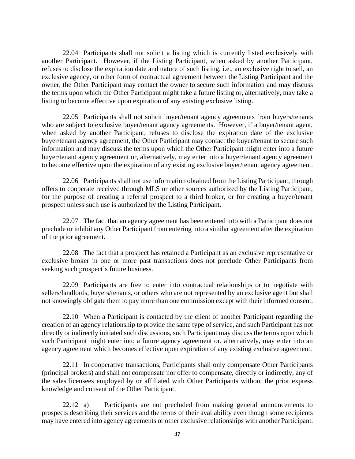22.04 Participants shall not solicit a listing which is currently listed exclusively with another Participant. However, if the Listing Participant, when asked by another Participant, refuses to disclose the expiration date and nature of such listing, i.e., an exclusive right to sell, an exclusive agency, or other form of contractual agreement between the Listing Participant and the owner, the Other Participant may contact the owner to secure such information and may discuss the terms upon which the Other Participant might take a future listing or, alternatively, may take a listing to become effective upon expiration of any existing exclusive listing.

22.05 Participants shall not solicit buyer/tenant agency agreements from buyers/tenants who are subject to exclusive buyer/tenant agency agreements. However, if a buyer/tenant agent, when asked by another Participant, refuses to disclose the expiration date of the exclusive buyer/tenant agency agreement, the Other Participant may contact the buyer/tenant to secure such information and may discuss the terms upon which the Other Participant might enter into a future buyer/tenant agency agreement or, alternatively, may enter into a buyer/tenant agency agreement to become effective upon the expiration of any existing exclusive buyer/tenant agency agreement.

22.06 Participants shall not use information obtained from the Listing Participant, through offers to cooperate received through MLS or other sources authorized by the Listing Participant, for the purpose of creating a referral prospect to a third broker, or for creating a buyer/tenant prospect unless such use is authorized by the Listing Participant.

22.07 The fact that an agency agreement has been entered into with a Participant does not preclude or inhibit any Other Participant from entering into a similar agreement after the expiration of the prior agreement.

22.08 The fact that a prospect has retained a Participant as an exclusive representative or exclusive broker in one or more past transactions does not preclude Other Participants from seeking such prospect's future business.

22.09 Participants are free to enter into contractual relationships or to negotiate with sellers/landlords, buyers/tenants, or others who are not represented by an exclusive agent but shall not knowingly obligate them to pay more than one commission except with their informed consent.

22.10 When a Participant is contacted by the client of another Participant regarding the creation of an agency relationship to provide the same type of service, and such Participant has not directly or indirectly initiated such discussions, such Participant may discuss the terms upon which such Participant might enter into a future agency agreement or, alternatively, may enter into an agency agreement which becomes effective upon expiration of any existing exclusive agreement.

22.11 In cooperative transactions, Participants shall only compensate Other Participants (principal brokers) and shall not compensate nor offer to compensate, directly or indirectly, any of the sales licensees employed by or affiliated with Other Participants without the prior express knowledge and consent of the Other Participant.

22.12 a) Participants are not precluded from making general announcements to prospects describing their services and the terms of their availability even though some recipients may have entered into agency agreements or other exclusive relationships with another Participant.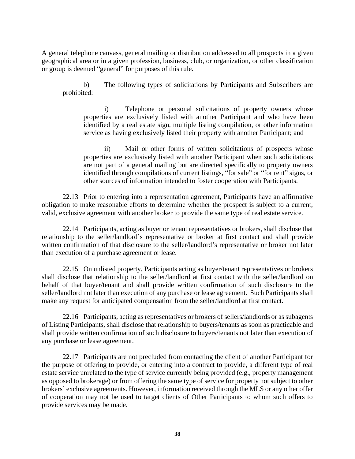A general telephone canvass, general mailing or distribution addressed to all prospects in a given geographical area or in a given profession, business, club, or organization, or other classification or group is deemed "general" for purposes of this rule.

b) The following types of solicitations by Participants and Subscribers are prohibited:

i) Telephone or personal solicitations of property owners whose properties are exclusively listed with another Participant and who have been identified by a real estate sign, multiple listing compilation, or other information service as having exclusively listed their property with another Participant; and

ii) Mail or other forms of written solicitations of prospects whose properties are exclusively listed with another Participant when such solicitations are not part of a general mailing but are directed specifically to property owners identified through compilations of current listings, "for sale" or "for rent" signs, or other sources of information intended to foster cooperation with Participants.

22.13 Prior to entering into a representation agreement, Participants have an affirmative obligation to make reasonable efforts to determine whether the prospect is subject to a current, valid, exclusive agreement with another broker to provide the same type of real estate service.

22.14 Participants, acting as buyer or tenant representatives or brokers, shall disclose that relationship to the seller/landlord's representative or broker at first contact and shall provide written confirmation of that disclosure to the seller/landlord's representative or broker not later than execution of a purchase agreement or lease.

22.15 On unlisted property, Participants acting as buyer/tenant representatives or brokers shall disclose that relationship to the seller/landlord at first contact with the seller/landlord on behalf of that buyer/tenant and shall provide written confirmation of such disclosure to the seller/landlord not later than execution of any purchase or lease agreement. Such Participants shall make any request for anticipated compensation from the seller/landlord at first contact.

22.16 Participants, acting as representatives or brokers of sellers/landlords or as subagents of Listing Participants, shall disclose that relationship to buyers/tenants as soon as practicable and shall provide written confirmation of such disclosure to buyers/tenants not later than execution of any purchase or lease agreement.

22.17 Participants are not precluded from contacting the client of another Participant for the purpose of offering to provide, or entering into a contract to provide, a different type of real estate service unrelated to the type of service currently being provided (e.g., property management as opposed to brokerage) or from offering the same type of service for property not subject to other brokers' exclusive agreements. However, information received through the MLS or any other offer of cooperation may not be used to target clients of Other Participants to whom such offers to provide services may be made.